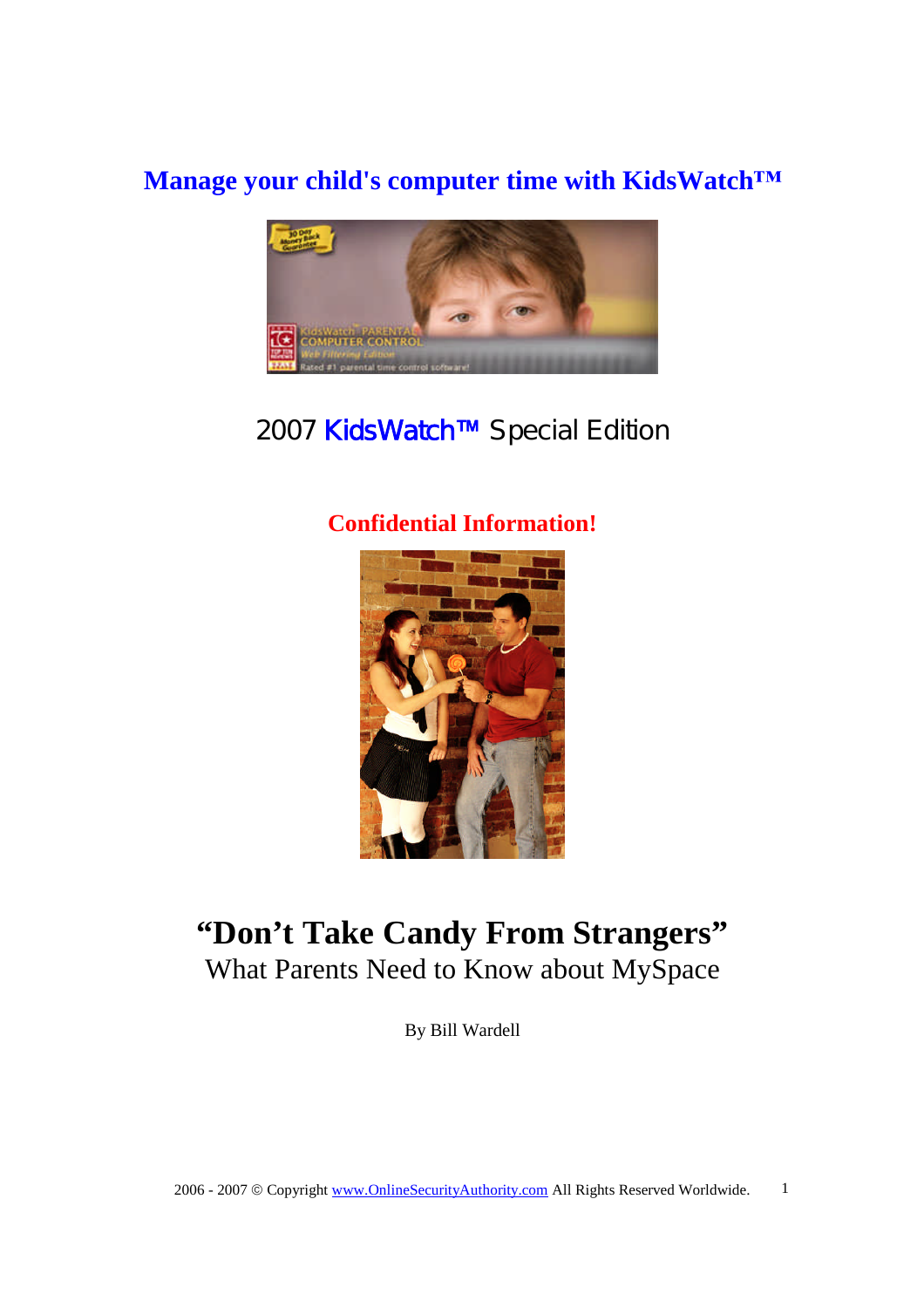## **Manage your child's computer time with KidsWatch™**



# 2007 KidsWatch™ Special Edition

## **Confidential Information!**



# **"Don't Take Candy From Strangers"** What Parents Need to Know about MySpace

By Bill Wardell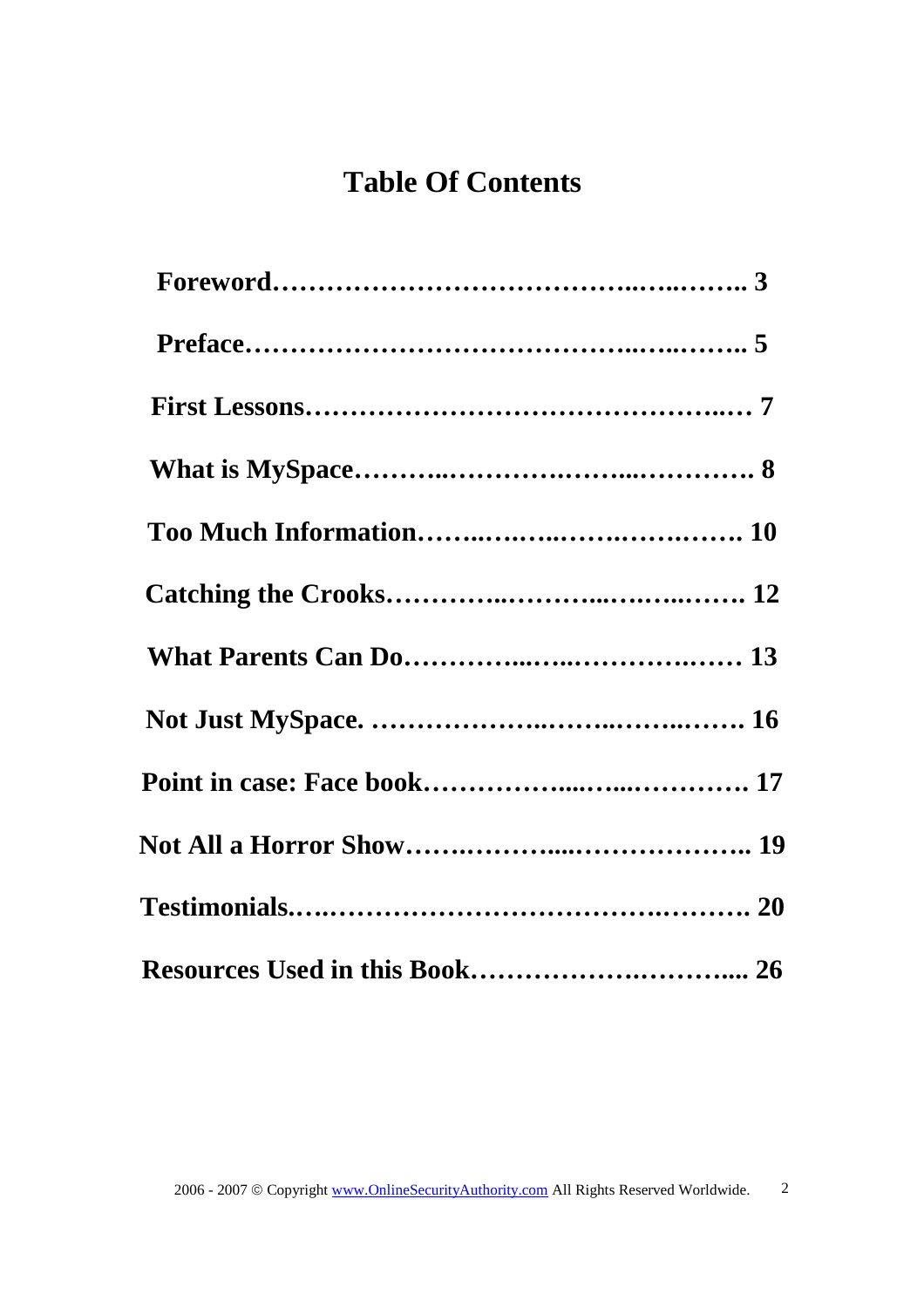# **Table Of Contents**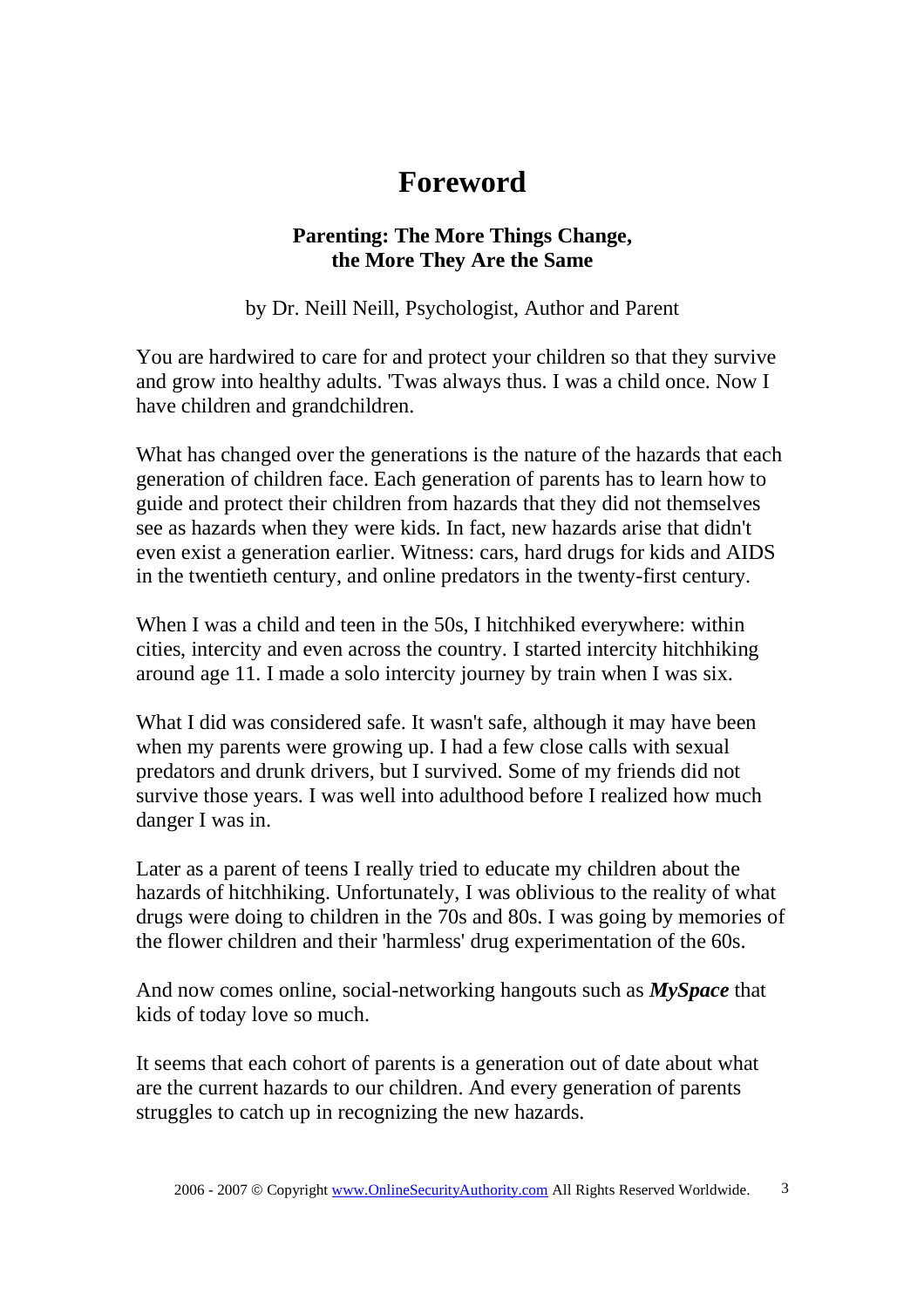# **Foreword**

### **Parenting: The More Things Change, the More They Are the Same**

by Dr. Neill Neill, Psychologist, Author and Parent

You are hardwired to care for and protect your children so that they survive and grow into healthy adults. 'Twas always thus. I was a child once. Now I have children and grandchildren.

What has changed over the generations is the nature of the hazards that each generation of children face. Each generation of parents has to learn how to guide and protect their children from hazards that they did not themselves see as hazards when they were kids. In fact, new hazards arise that didn't even exist a generation earlier. Witness: cars, hard drugs for kids and AIDS in the twentieth century, and online predators in the twenty-first century.

When I was a child and teen in the 50s, I hitchhiked everywhere: within cities, intercity and even across the country. I started intercity hitchhiking around age 11. I made a solo intercity journey by train when I was six.

What I did was considered safe. It wasn't safe, although it may have been when my parents were growing up. I had a few close calls with sexual predators and drunk drivers, but I survived. Some of my friends did not survive those years. I was well into adulthood before I realized how much danger I was in.

Later as a parent of teens I really tried to educate my children about the hazards of hitchhiking. Unfortunately, I was oblivious to the reality of what drugs were doing to children in the 70s and 80s. I was going by memories of the flower children and their 'harmless' drug experimentation of the 60s.

And now comes online, social-networking hangouts such as *MySpace* that kids of today love so much.

It seems that each cohort of parents is a generation out of date about what are the current hazards to our children. And every generation of parents struggles to catch up in recognizing the new hazards.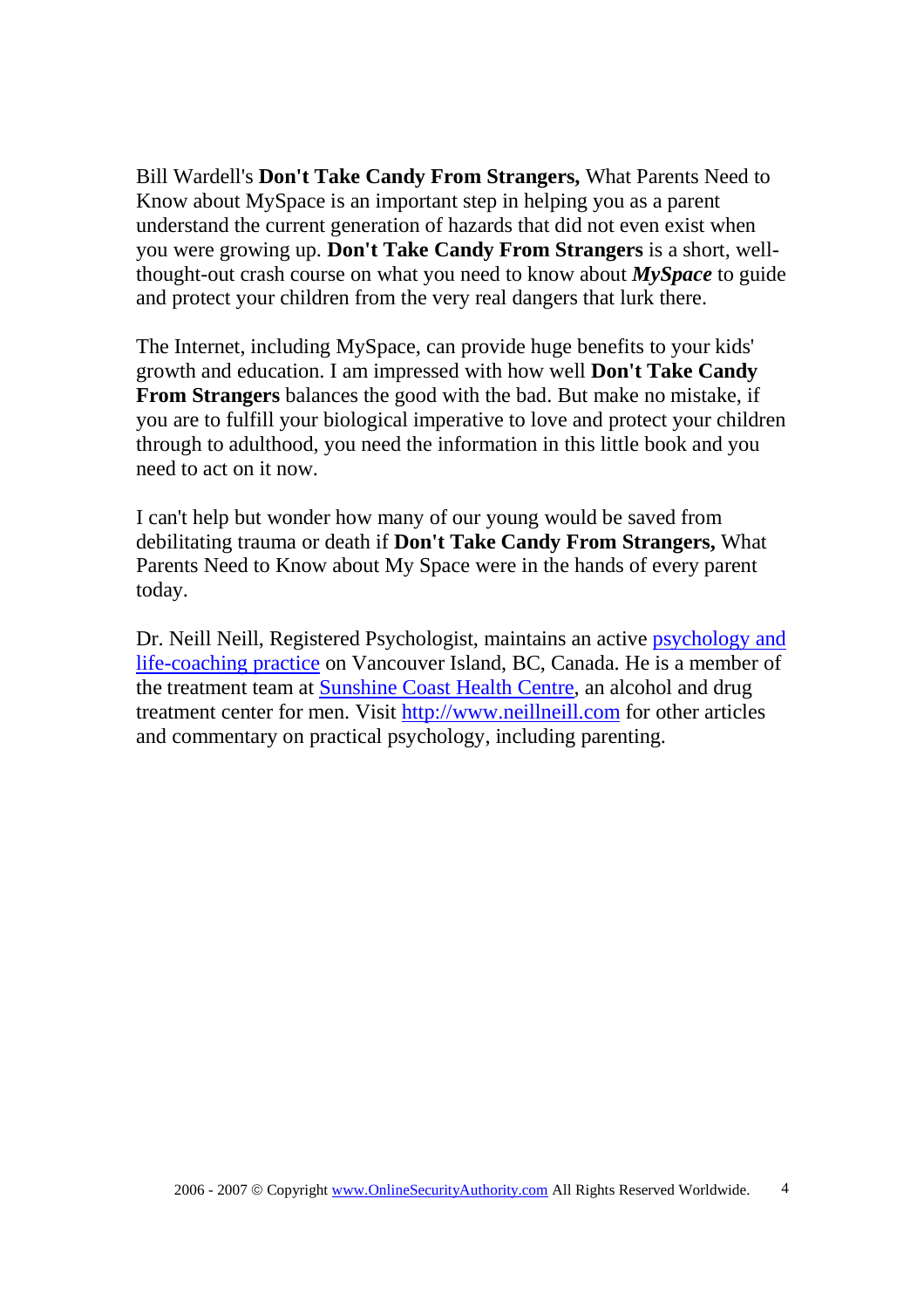Bill Wardell's **Don't Take Candy From Strangers,** What Parents Need to Know about MySpace is an important step in helping you as a parent understand the current generation of hazards that did not even exist when you were growing up. **Don't Take Candy From Strangers** is a short, wellthought-out crash course on what you need to know about *MySpace* to guide and protect your children from the very real dangers that lurk there.

The Internet, including MySpace, can provide huge benefits to your kids' growth and education. I am impressed with how well **Don't Take Candy From Strangers** balances the good with the bad. But make no mistake, if you are to fulfill your biological imperative to love and protect your children through to adulthood, you need the information in this little book and you need to act on it now.

I can't help but wonder how many of our young would be saved from debilitating trauma or death if **Don't Take Candy From Strangers,** What Parents Need to Know about My Space were in the hands of every parent today.

Dr. Neill Neill, Registered Psychologist, maintains an active psychology and life-coaching practice on Vancouver Island, BC, Canada. He is a member of the treatment team at Sunshine Coast Health Centre, an alcohol and drug treatment center for men. Visit http://www.neillneill.com for other articles and commentary on practical psychology, including parenting.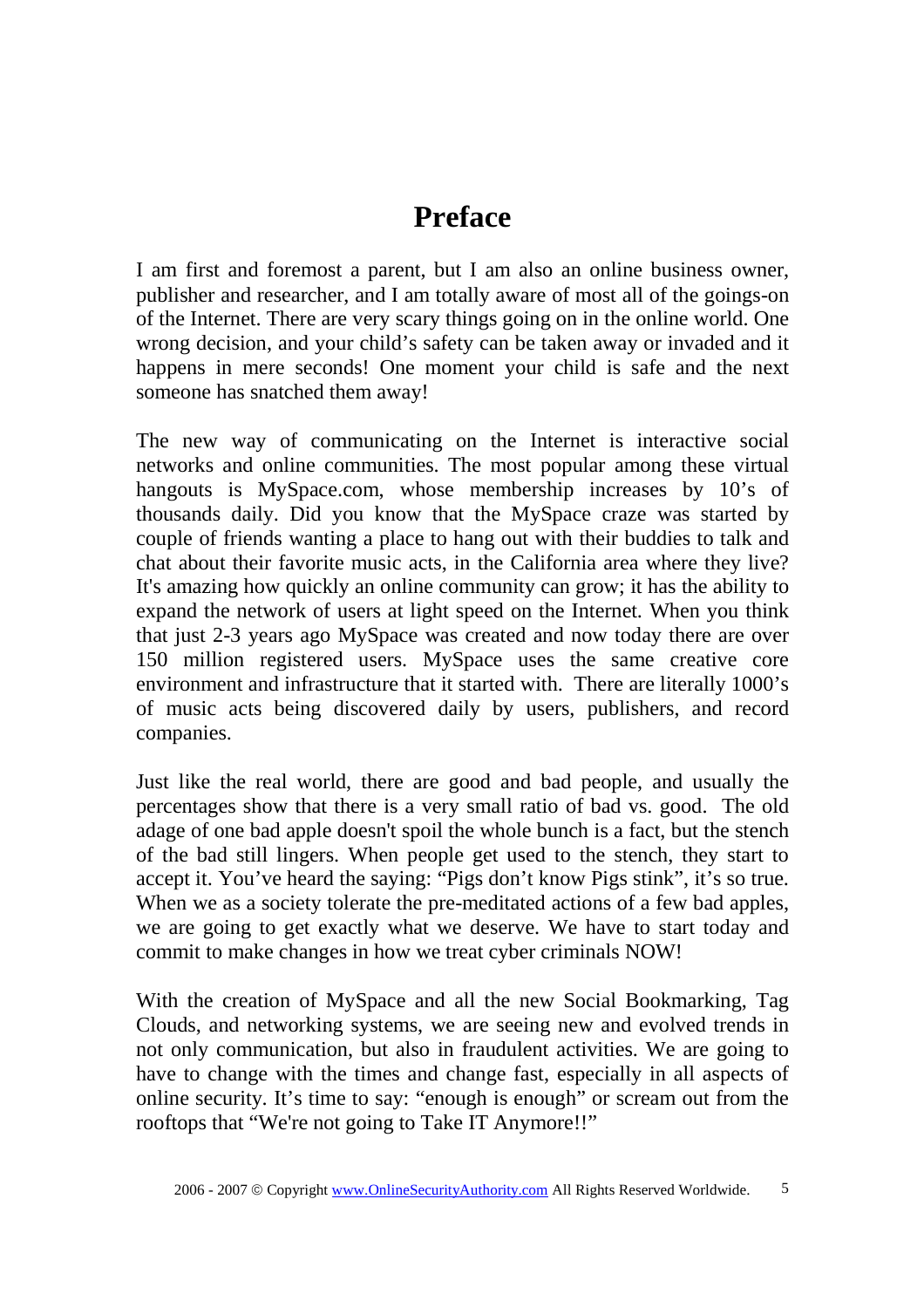## **Preface**

I am first and foremost a parent, but I am also an online business owner, publisher and researcher, and I am totally aware of most all of the goings-on of the Internet. There are very scary things going on in the online world. One wrong decision, and your child's safety can be taken away or invaded and it happens in mere seconds! One moment your child is safe and the next someone has snatched them away!

The new way of communicating on the Internet is interactive social networks and online communities. The most popular among these virtual hangouts is MySpace.com, whose membership increases by 10's of thousands daily. Did you know that the MySpace craze was started by couple of friends wanting a place to hang out with their buddies to talk and chat about their favorite music acts, in the California area where they live? It's amazing how quickly an online community can grow; it has the ability to expand the network of users at light speed on the Internet. When you think that just 2-3 years ago MySpace was created and now today there are over 150 million registered users. MySpace uses the same creative core environment and infrastructure that it started with. There are literally 1000's of music acts being discovered daily by users, publishers, and record companies.

Just like the real world, there are good and bad people, and usually the percentages show that there is a very small ratio of bad vs. good. The old adage of one bad apple doesn't spoil the whole bunch is a fact, but the stench of the bad still lingers. When people get used to the stench, they start to accept it. You've heard the saying: "Pigs don't know Pigs stink", it's so true. When we as a society tolerate the pre-meditated actions of a few bad apples, we are going to get exactly what we deserve. We have to start today and commit to make changes in how we treat cyber criminals NOW!

With the creation of MySpace and all the new Social Bookmarking, Tag Clouds, and networking systems, we are seeing new and evolved trends in not only communication, but also in fraudulent activities. We are going to have to change with the times and change fast, especially in all aspects of online security. It's time to say: "enough is enough" or scream out from the rooftops that "We're not going to Take IT Anymore!!"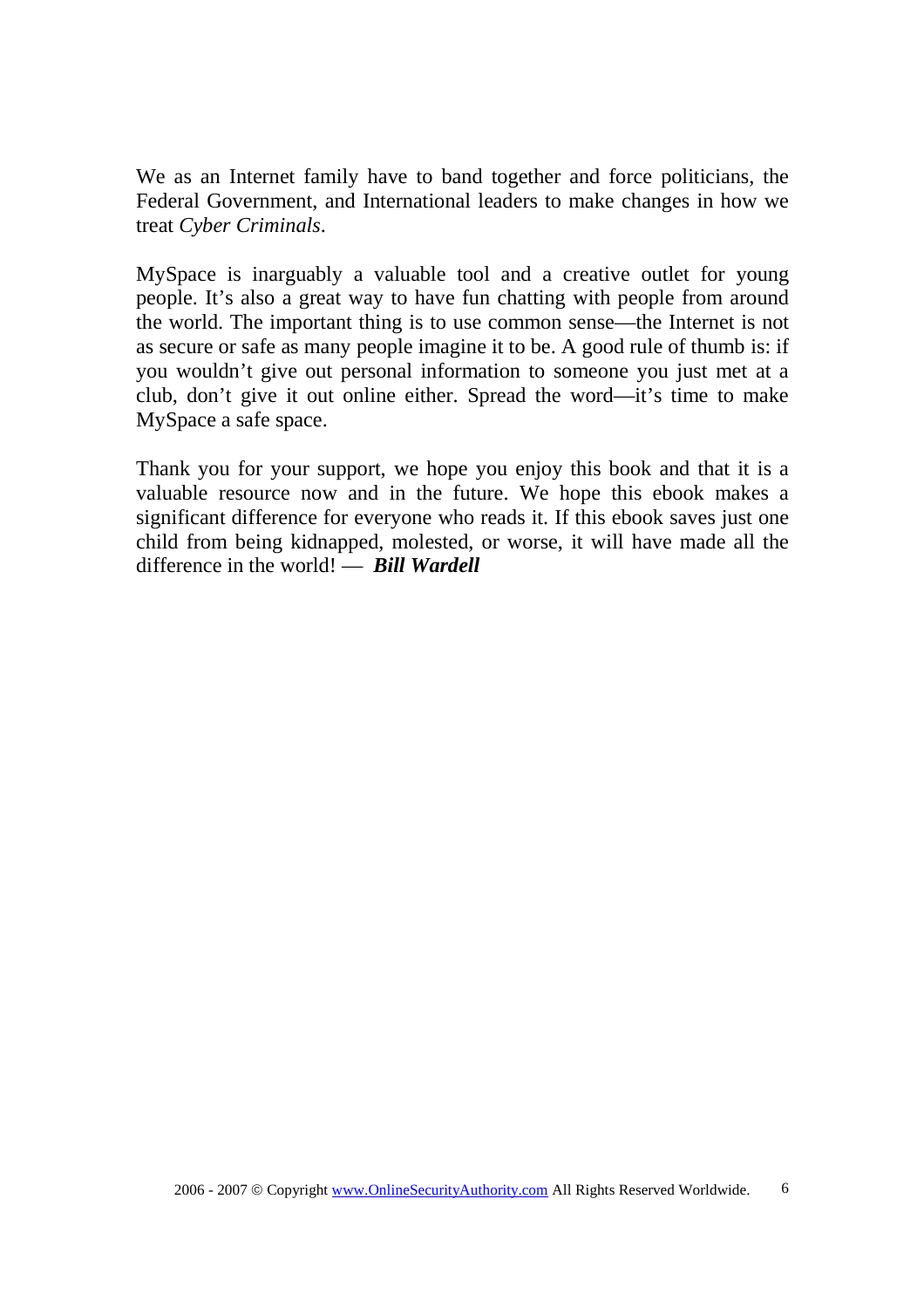We as an Internet family have to band together and force politicians, the Federal Government, and International leaders to make changes in how we treat *Cyber Criminals*.

MySpace is inarguably a valuable tool and a creative outlet for young people. It's also a great way to have fun chatting with people from around the world. The important thing is to use common sense—the Internet is not as secure or safe as many people imagine it to be. A good rule of thumb is: if you wouldn't give out personal information to someone you just met at a club, don't give it out online either. Spread the word—it's time to make MySpace a safe space.

Thank you for your support, we hope you enjoy this book and that it is a valuable resource now and in the future. We hope this ebook makes a significant difference for everyone who reads it. If this ebook saves just one child from being kidnapped, molested, or worse, it will have made all the difference in the world! — *Bill Wardell*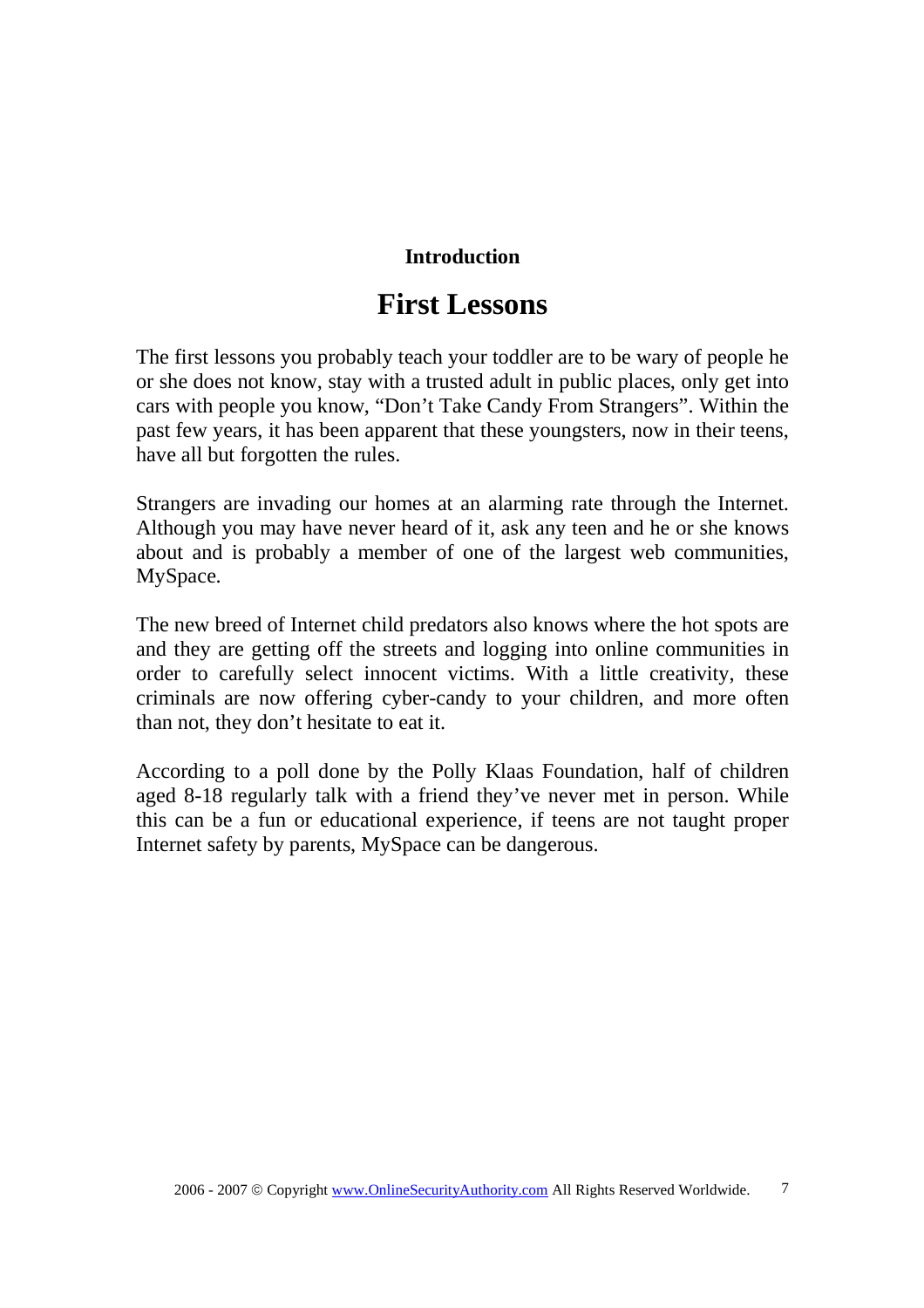### **Introduction**

## **First Lessons**

The first lessons you probably teach your toddler are to be wary of people he or she does not know, stay with a trusted adult in public places, only get into cars with people you know, "Don't Take Candy From Strangers". Within the past few years, it has been apparent that these youngsters, now in their teens, have all but forgotten the rules.

Strangers are invading our homes at an alarming rate through the Internet. Although you may have never heard of it, ask any teen and he or she knows about and is probably a member of one of the largest web communities, MySpace.

The new breed of Internet child predators also knows where the hot spots are and they are getting off the streets and logging into online communities in order to carefully select innocent victims. With a little creativity, these criminals are now offering cyber-candy to your children, and more often than not, they don't hesitate to eat it.

According to a poll done by the Polly Klaas Foundation, half of children aged 8-18 regularly talk with a friend they've never met in person. While this can be a fun or educational experience, if teens are not taught proper Internet safety by parents, MySpace can be dangerous.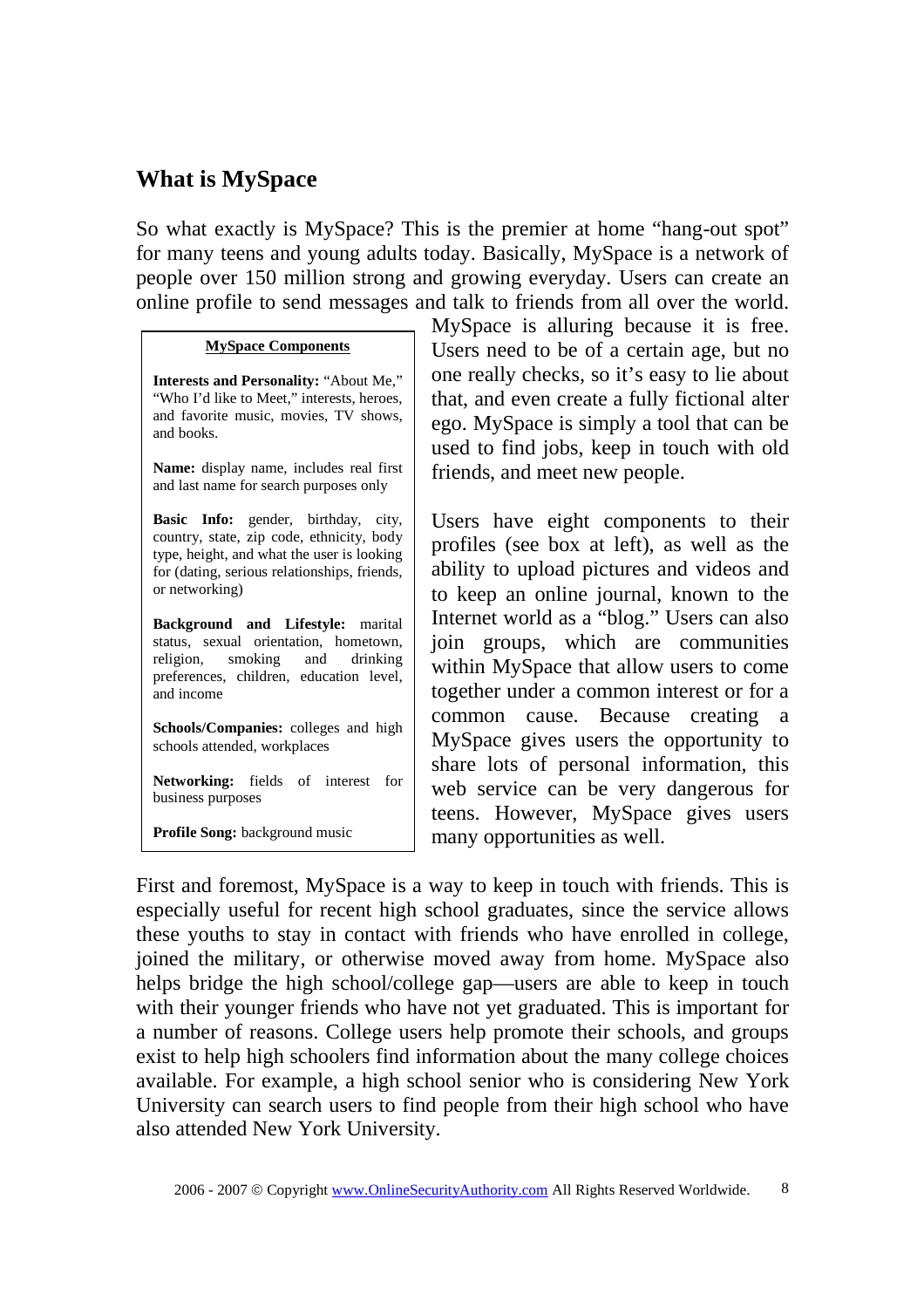### **What is MySpace**

So what exactly is MySpace? This is the premier at home "hang-out spot" for many teens and young adults today. Basically, MySpace is a network of people over 150 million strong and growing everyday. Users can create an online profile to send messages and talk to friends from all over the world.

#### **MySpace Components**

**Interests and Personality:** "About Me," "Who I'd like to Meet," interests, heroes, and favorite music, movies, TV shows, and books.

**Name:** display name, includes real first and last name for search purposes only

**Basic Info:** gender, birthday, city, country, state, zip code, ethnicity, body type, height, and what the user is looking for (dating, serious relationships, friends, or networking)

**Background and Lifestyle:** marital status, sexual orientation, hometown, religion, smoking and drinking preferences, children, education level, and income

**Schools/Companies:** colleges and high schools attended, workplaces

**Networking:** fields of interest for business purposes

**Profile Song:** background music

MySpace is alluring because it is free. Users need to be of a certain age, but no one really checks, so it's easy to lie about that, and even create a fully fictional alter ego. MySpace is simply a tool that can be used to find jobs, keep in touch with old friends, and meet new people.

Users have eight components to their profiles (see box at left), as well as the ability to upload pictures and videos and to keep an online journal, known to the Internet world as a "blog." Users can also join groups, which are communities within MySpace that allow users to come together under a common interest or for a common cause. Because creating a MySpace gives users the opportunity to share lots of personal information, this web service can be very dangerous for teens. However, MySpace gives users many opportunities as well.

First and foremost, MySpace is a way to keep in touch with friends. This is especially useful for recent high school graduates, since the service allows these youths to stay in contact with friends who have enrolled in college, joined the military, or otherwise moved away from home. MySpace also helps bridge the high school/college gap—users are able to keep in touch with their younger friends who have not yet graduated. This is important for a number of reasons. College users help promote their schools, and groups exist to help high schoolers find information about the many college choices available. For example, a high school senior who is considering New York University can search users to find people from their high school who have also attended New York University.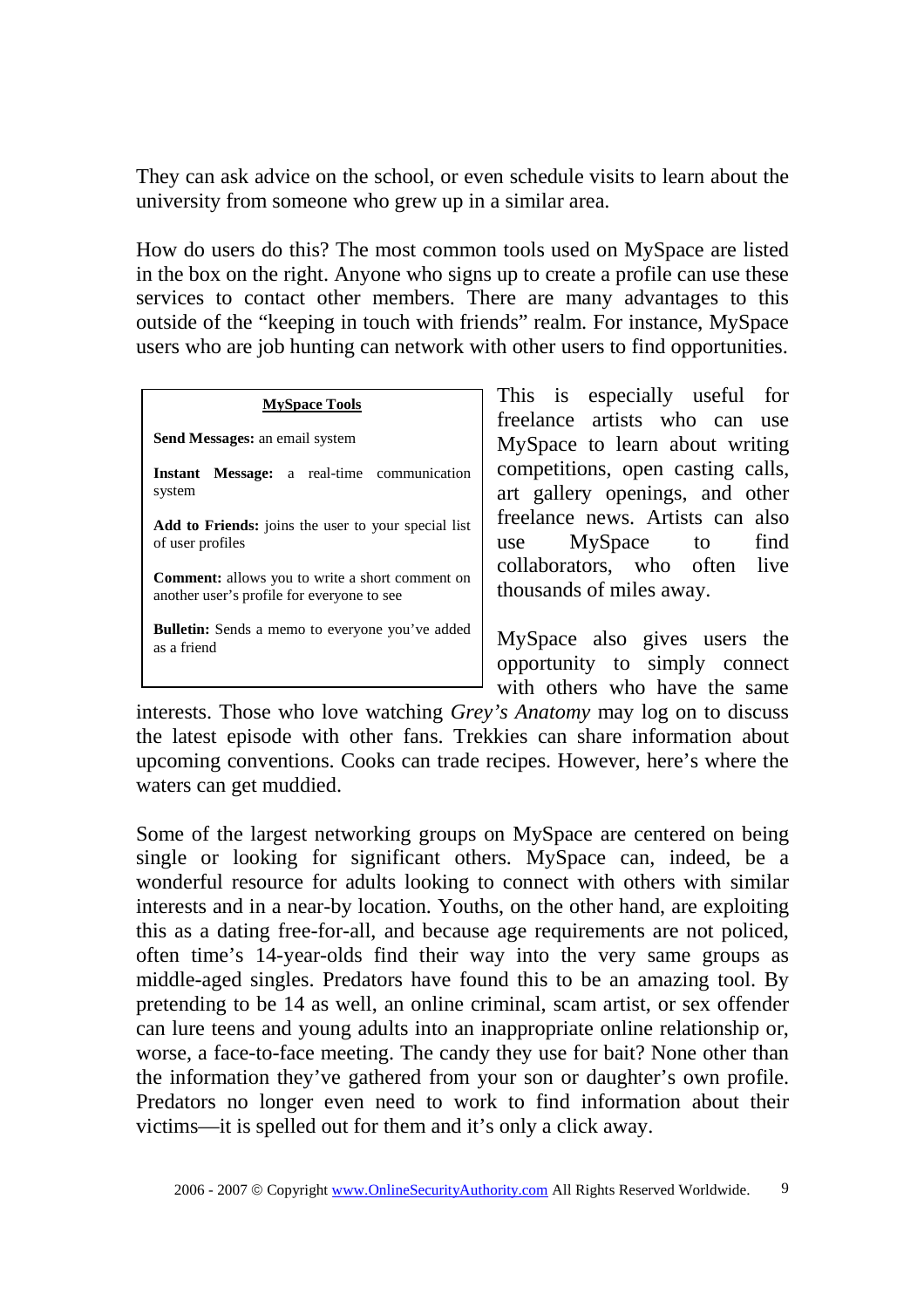They can ask advice on the school, or even schedule visits to learn about the university from someone who grew up in a similar area.

How do users do this? The most common tools used on MySpace are listed in the box on the right. Anyone who signs up to create a profile can use these services to contact other members. There are many advantages to this outside of the "keeping in touch with friends" realm. For instance, MySpace users who are job hunting can network with other users to find opportunities.

| <b>MySpace Tools</b>                                                    |                    |
|-------------------------------------------------------------------------|--------------------|
|                                                                         |                    |
| <b>Send Messages:</b> an email system                                   |                    |
| Instant Message: a real-time communication                              | $\mathbf{C}$       |
| system                                                                  | a<br>$\frac{f}{v}$ |
| Add to Friends: joins the user to your special list<br>of user profiles |                    |
|                                                                         |                    |
| another user's profile for everyone to see                              |                    |

**Bulletin:** Sends a memo to everyone you've added as a friend

This is especially useful for freelance artists who can use MySpace to learn about writing competitions, open casting calls, art gallery openings, and other freelance news. Artists can also use MySpace to find collaborators, who often live housands of miles away.

MySpace also gives users the opportunity to simply connect with others who have the same

interests. Those who love watching *Grey's Anatomy* may log on to discuss the latest episode with other fans. Trekkies can share information about upcoming conventions. Cooks can trade recipes. However, here's where the waters can get muddied.

Some of the largest networking groups on MySpace are centered on being single or looking for significant others. MySpace can, indeed, be a wonderful resource for adults looking to connect with others with similar interests and in a near-by location. Youths, on the other hand, are exploiting this as a dating free-for-all, and because age requirements are not policed, often time's 14-year-olds find their way into the very same groups as middle-aged singles. Predators have found this to be an amazing tool. By pretending to be 14 as well, an online criminal, scam artist, or sex offender can lure teens and young adults into an inappropriate online relationship or, worse, a face-to-face meeting. The candy they use for bait? None other than the information they've gathered from your son or daughter's own profile. Predators no longer even need to work to find information about their victims—it is spelled out for them and it's only a click away.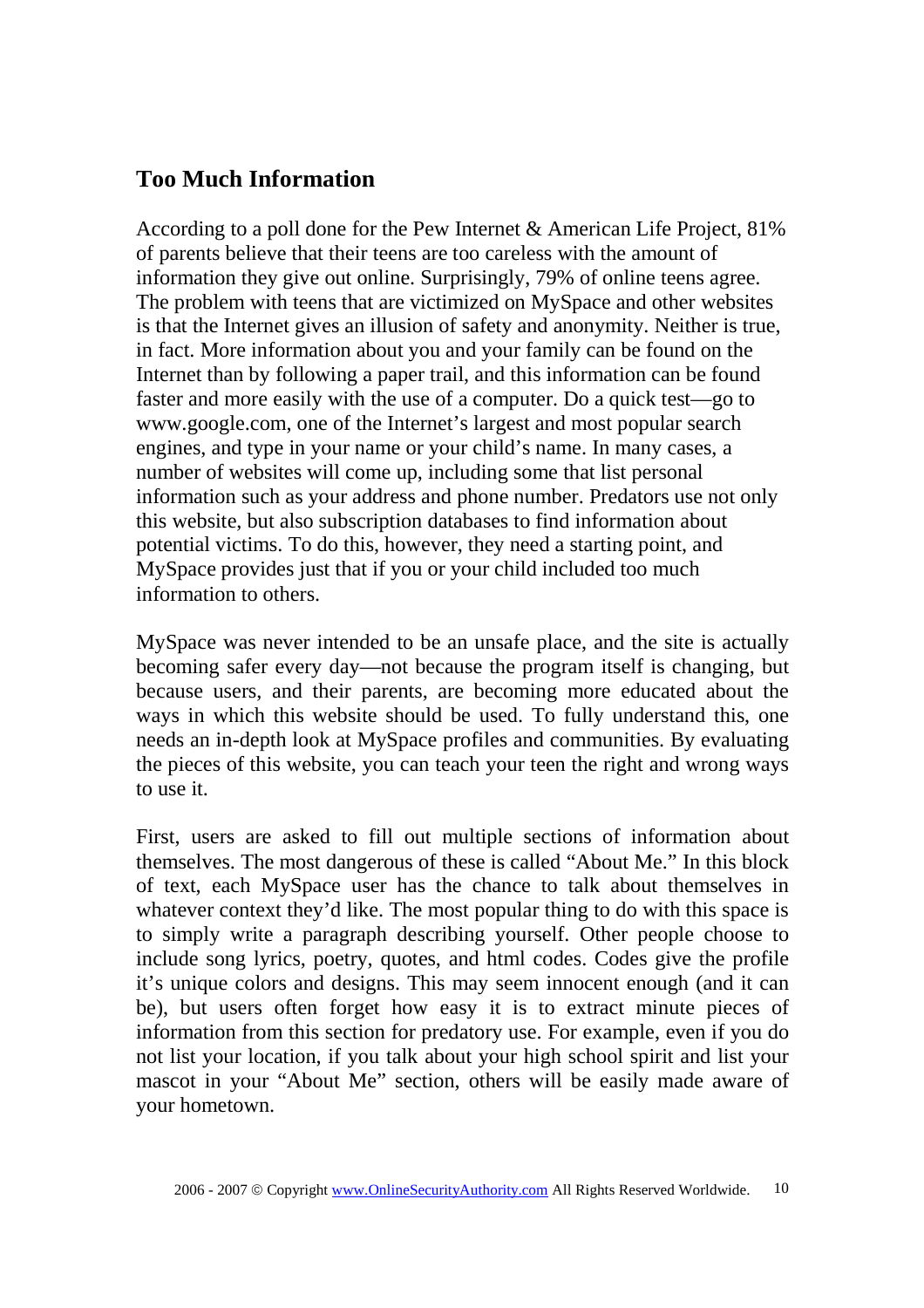### **Too Much Information**

According to a poll done for the Pew Internet & American Life Project, 81% of parents believe that their teens are too careless with the amount of information they give out online. Surprisingly, 79% of online teens agree. The problem with teens that are victimized on MySpace and other websites is that the Internet gives an illusion of safety and anonymity. Neither is true, in fact. More information about you and your family can be found on the Internet than by following a paper trail, and this information can be found faster and more easily with the use of a computer. Do a quick test—go to www.google.com, one of the Internet's largest and most popular search engines, and type in your name or your child's name. In many cases, a number of websites will come up, including some that list personal information such as your address and phone number. Predators use not only this website, but also subscription databases to find information about potential victims. To do this, however, they need a starting point, and MySpace provides just that if you or your child included too much information to others.

MySpace was never intended to be an unsafe place, and the site is actually becoming safer every day—not because the program itself is changing, but because users, and their parents, are becoming more educated about the ways in which this website should be used. To fully understand this, one needs an in-depth look at MySpace profiles and communities. By evaluating the pieces of this website, you can teach your teen the right and wrong ways to use it.

First, users are asked to fill out multiple sections of information about themselves. The most dangerous of these is called "About Me." In this block of text, each MySpace user has the chance to talk about themselves in whatever context they'd like. The most popular thing to do with this space is to simply write a paragraph describing yourself. Other people choose to include song lyrics, poetry, quotes, and html codes. Codes give the profile it's unique colors and designs. This may seem innocent enough (and it can be), but users often forget how easy it is to extract minute pieces of information from this section for predatory use. For example, even if you do not list your location, if you talk about your high school spirit and list your mascot in your "About Me" section, others will be easily made aware of your hometown.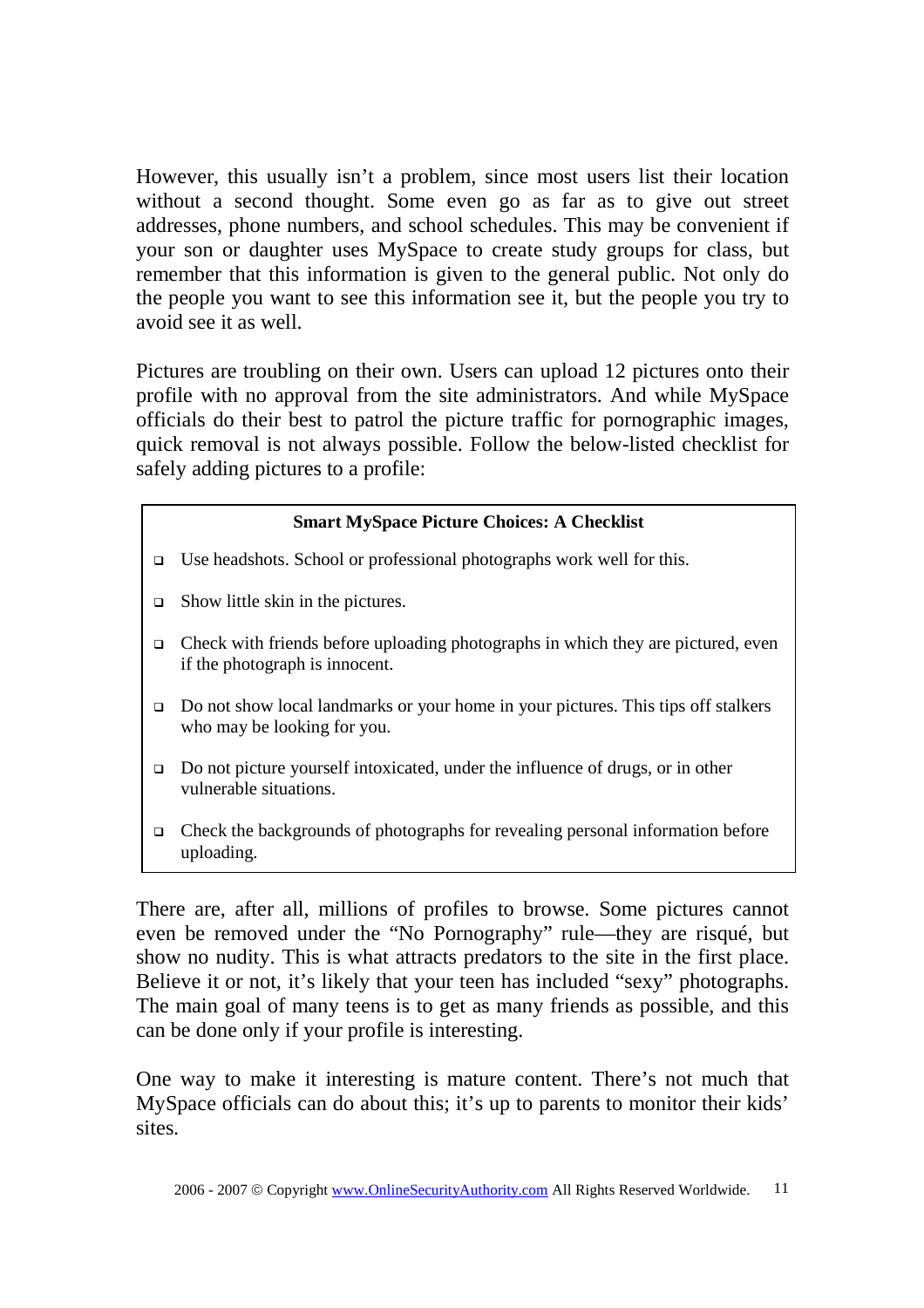However, this usually isn't a problem, since most users list their location without a second thought. Some even go as far as to give out street addresses, phone numbers, and school schedules. This may be convenient if your son or daughter uses MySpace to create study groups for class, but remember that this information is given to the general public. Not only do the people you want to see this information see it, but the people you try to avoid see it as well.

Pictures are troubling on their own. Users can upload 12 pictures onto their profile with no approval from the site administrators. And while MySpace officials do their best to patrol the picture traffic for pornographic images, quick removal is not always possible. Follow the below-listed checklist for safely adding pictures to a profile:

### **Smart MySpace Picture Choices: A Checklist**

- Use headshots. School or professional photographs work well for this.
- $\Box$  Show little skin in the pictures.
- $\Box$  Check with friends before uploading photographs in which they are pictured, even if the photograph is innocent.
- Do not show local landmarks or your home in your pictures. This tips off stalkers who may be looking for you.
- □ Do not picture yourself intoxicated, under the influence of drugs, or in other vulnerable situations.
- $\Box$  Check the backgrounds of photographs for revealing personal information before uploading.

There are, after all, millions of profiles to browse. Some pictures cannot even be removed under the "No Pornography" rule—they are risqué, but show no nudity. This is what attracts predators to the site in the first place. Believe it or not, it's likely that your teen has included "sexy" photographs. The main goal of many teens is to get as many friends as possible, and this can be done only if your profile is interesting.

One way to make it interesting is mature content. There's not much that MySpace officials can do about this; it's up to parents to monitor their kids' sites.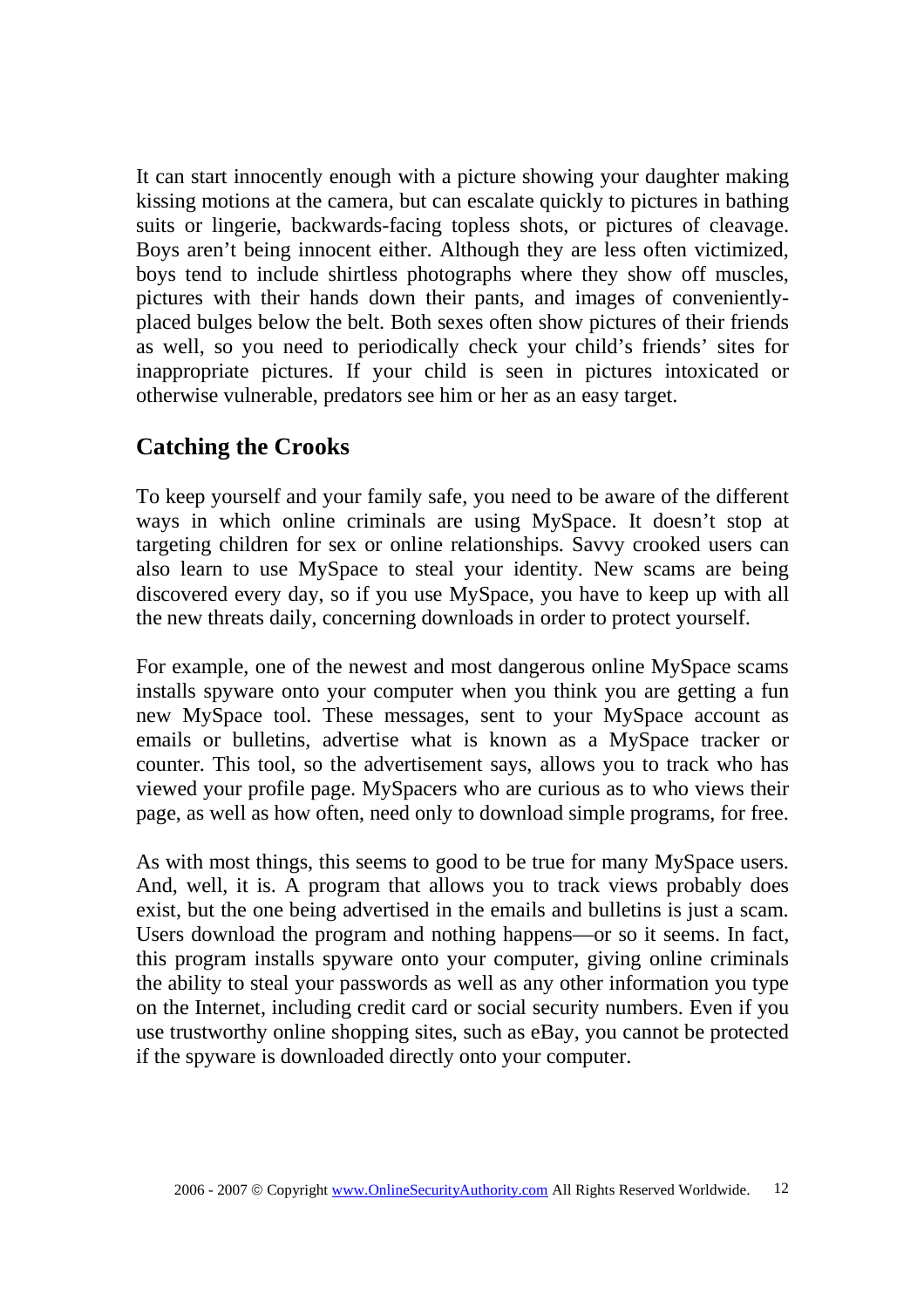It can start innocently enough with a picture showing your daughter making kissing motions at the camera, but can escalate quickly to pictures in bathing suits or lingerie, backwards-facing topless shots, or pictures of cleavage. Boys aren't being innocent either. Although they are less often victimized, boys tend to include shirtless photographs where they show off muscles, pictures with their hands down their pants, and images of convenientlyplaced bulges below the belt. Both sexes often show pictures of their friends as well, so you need to periodically check your child's friends' sites for inappropriate pictures. If your child is seen in pictures intoxicated or otherwise vulnerable, predators see him or her as an easy target.

## **Catching the Crooks**

To keep yourself and your family safe, you need to be aware of the different ways in which online criminals are using MySpace. It doesn't stop at targeting children for sex or online relationships. Savvy crooked users can also learn to use MySpace to steal your identity. New scams are being discovered every day, so if you use MySpace, you have to keep up with all the new threats daily, concerning downloads in order to protect yourself.

For example, one of the newest and most dangerous online MySpace scams installs spyware onto your computer when you think you are getting a fun new MySpace tool. These messages, sent to your MySpace account as emails or bulletins, advertise what is known as a MySpace tracker or counter. This tool, so the advertisement says, allows you to track who has viewed your profile page. MySpacers who are curious as to who views their page, as well as how often, need only to download simple programs, for free.

As with most things, this seems to good to be true for many MySpace users. And, well, it is. A program that allows you to track views probably does exist, but the one being advertised in the emails and bulletins is just a scam. Users download the program and nothing happens—or so it seems. In fact, this program installs spyware onto your computer, giving online criminals the ability to steal your passwords as well as any other information you type on the Internet, including credit card or social security numbers. Even if you use trustworthy online shopping sites, such as eBay, you cannot be protected if the spyware is downloaded directly onto your computer.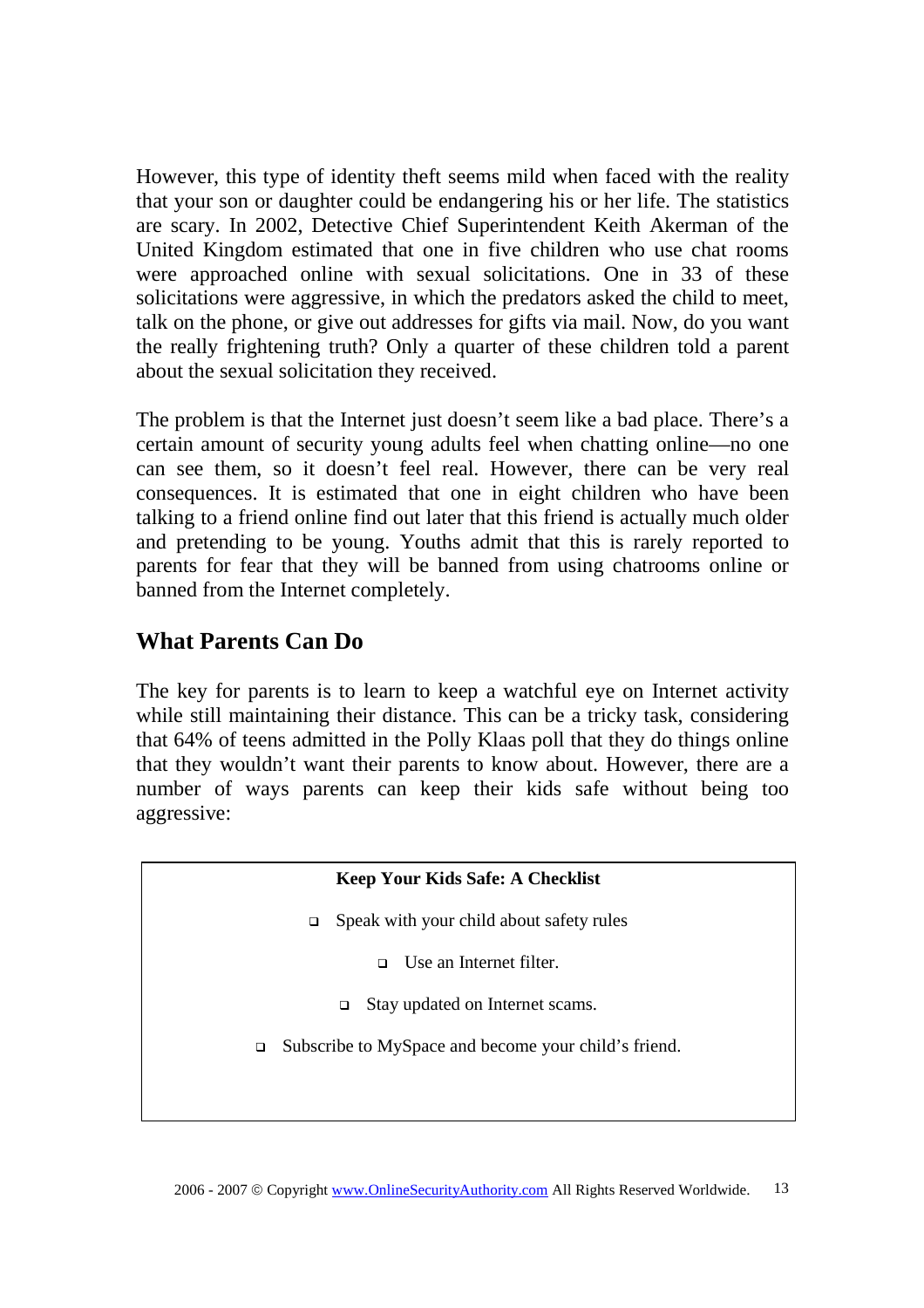However, this type of identity theft seems mild when faced with the reality that your son or daughter could be endangering his or her life. The statistics are scary. In 2002, Detective Chief Superintendent Keith Akerman of the United Kingdom estimated that one in five children who use chat rooms were approached online with sexual solicitations. One in 33 of these solicitations were aggressive, in which the predators asked the child to meet, talk on the phone, or give out addresses for gifts via mail. Now, do you want the really frightening truth? Only a quarter of these children told a parent about the sexual solicitation they received.

The problem is that the Internet just doesn't seem like a bad place. There's a certain amount of security young adults feel when chatting online—no one can see them, so it doesn't feel real. However, there can be very real consequences. It is estimated that one in eight children who have been talking to a friend online find out later that this friend is actually much older and pretending to be young. Youths admit that this is rarely reported to parents for fear that they will be banned from using chatrooms online or banned from the Internet completely.

## **What Parents Can Do**

The key for parents is to learn to keep a watchful eye on Internet activity while still maintaining their distance. This can be a tricky task, considering that 64% of teens admitted in the Polly Klaas poll that they do things online that they wouldn't want their parents to know about. However, there are a number of ways parents can keep their kids safe without being too aggressive:

#### **Keep Your Kids Safe: A Checklist**

- $\Box$  Speak with your child about safety rules
	- Use an Internet filter.
	- Stay updated on Internet scams.
- Subscribe to MySpace and become your child's friend.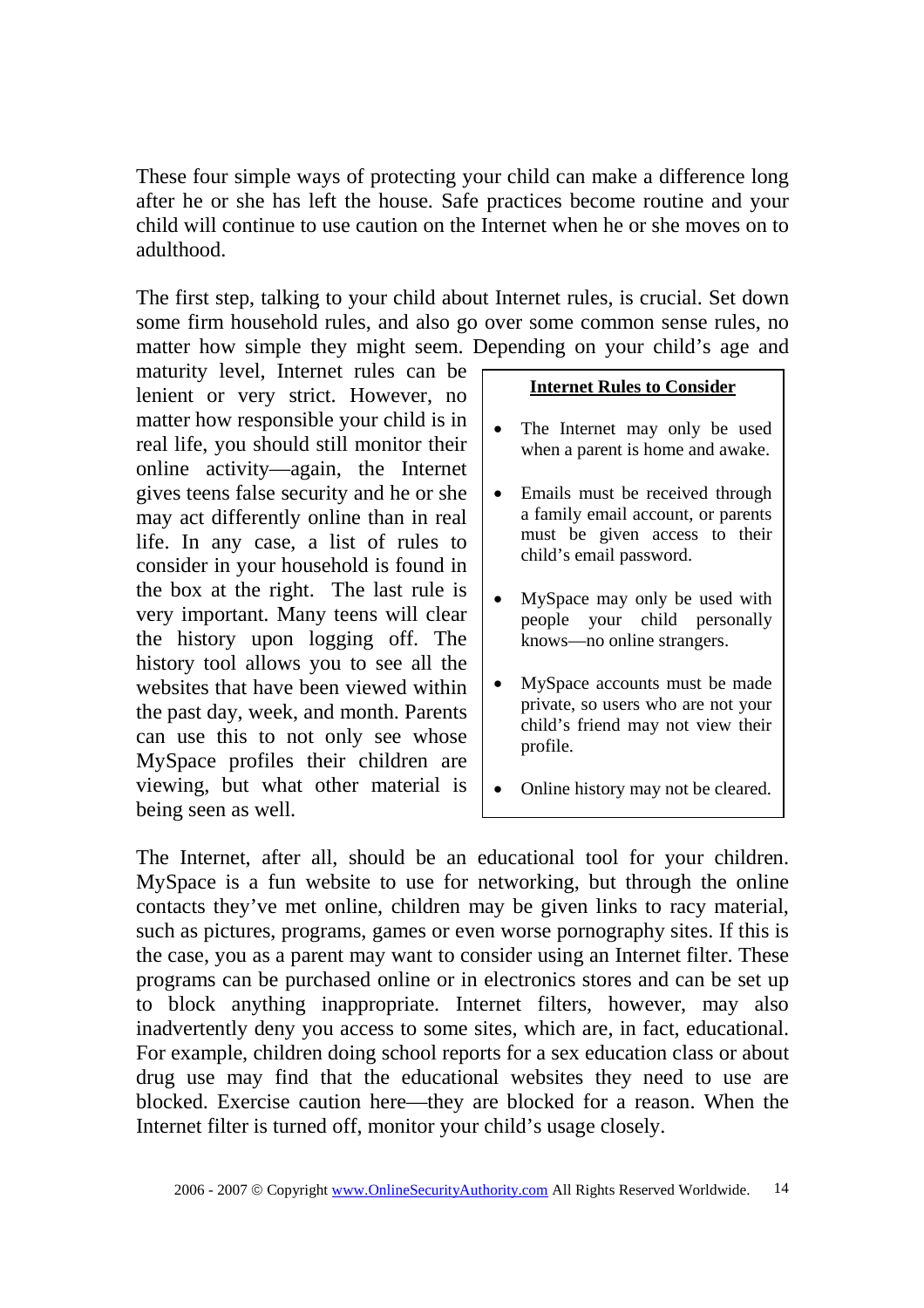These four simple ways of protecting your child can make a difference long after he or she has left the house. Safe practices become routine and your child will continue to use caution on the Internet when he or she moves on to adulthood.

The first step, talking to your child about Internet rules, is crucial. Set down some firm household rules, and also go over some common sense rules, no matter how simple they might seem. Depending on your child's age and

maturity level, Internet rules can be lenient or very strict. However, no matter how responsible your child is in real life, you should still monitor their online activity—again, the Internet gives teens false security and he or she may act differently online than in real life. In any case, a list of rules to consider in your household is found in the box at the right. The last rule is very important. Many teens will clear the history upon logging off. The history tool allows you to see all the websites that have been viewed within the past day, week, and month. Parents can use this to not only see whose MySpace profiles their children are viewing, but what other material is being seen as well.

#### **Internet Rules to Consider**

- The Internet may only be used when a parent is home and awake.
- Emails must be received through a family email account, or parents must be given access to their child's email password.
- MySpace may only be used with people your child personally knows—no online strangers.
- MySpace accounts must be made private, so users who are not your child's friend may not view their profile.
- Online history may not be cleared.

The Internet, after all, should be an educational tool for your children. MySpace is a fun website to use for networking, but through the online contacts they've met online, children may be given links to racy material, such as pictures, programs, games or even worse pornography sites. If this is the case, you as a parent may want to consider using an Internet filter. These programs can be purchased online or in electronics stores and can be set up to block anything inappropriate. Internet filters, however, may also inadvertently deny you access to some sites, which are, in fact, educational. For example, children doing school reports for a sex education class or about drug use may find that the educational websites they need to use are blocked. Exercise caution here—they are blocked for a reason. When the Internet filter is turned off, monitor your child's usage closely.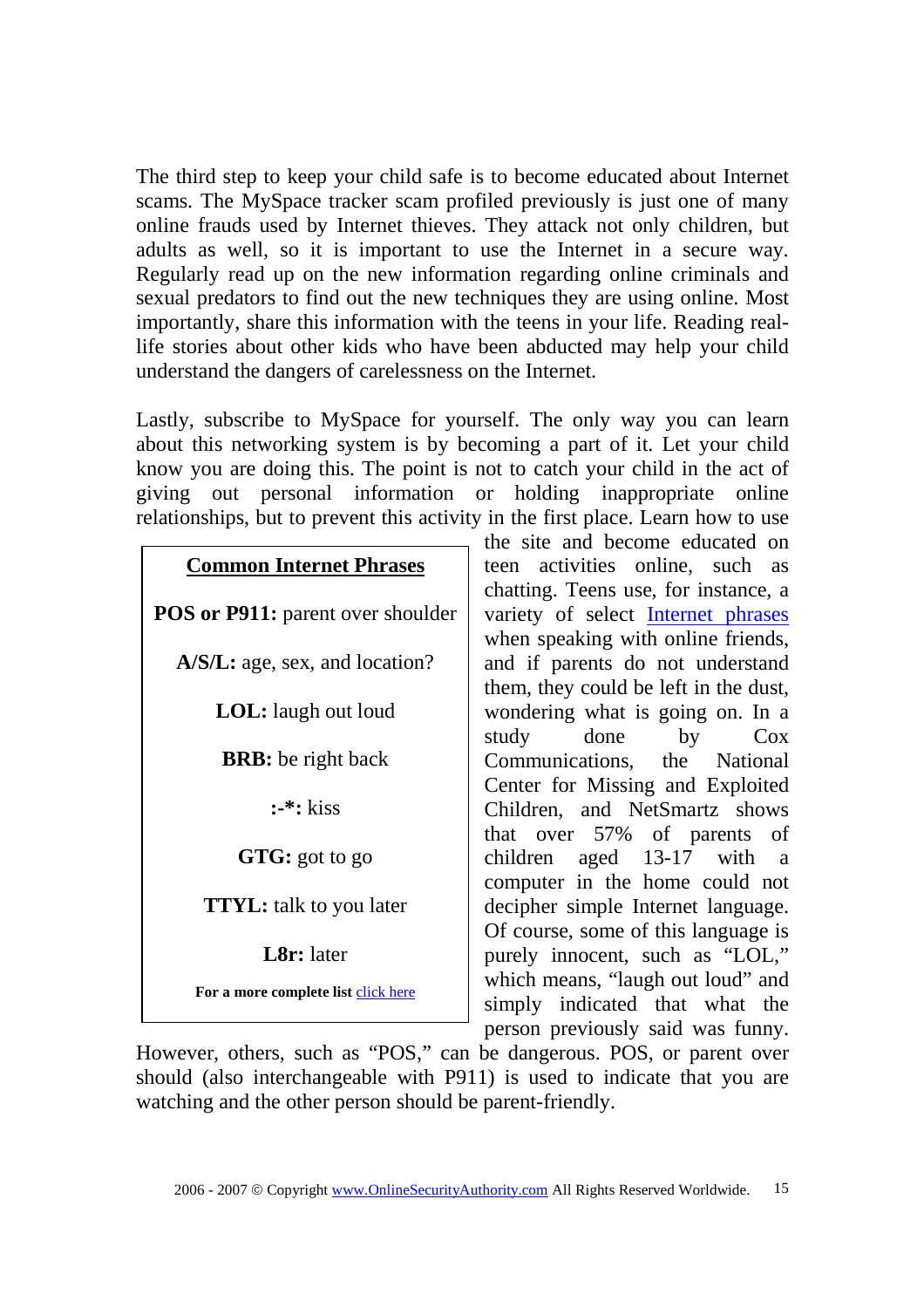The third step to keep your child safe is to become educated about Internet scams. The MySpace tracker scam profiled previously is just one of many online frauds used by Internet thieves. They attack not only children, but adults as well, so it is important to use the Internet in a secure way. Regularly read up on the new information regarding online criminals and sexual predators to find out the new techniques they are using online. Most importantly, share this information with the teens in your life. Reading reallife stories about other kids who have been abducted may help your child understand the dangers of carelessness on the Internet.

Lastly, subscribe to MySpace for yourself. The only way you can learn about this networking system is by becoming a part of it. Let your child know you are doing this. The point is not to catch your child in the act of giving out personal information or holding inappropriate online relationships, but to prevent this activity in the first place. Learn how to use

| <b>Common Internet Phrases</b> |  |
|--------------------------------|--|
|                                |  |

**POS or P911:** parent over shoulder **A/S/L:** age, sex, and location?

**LOL:** laugh out loud

**BRB:** be right back

**:-\*:** kiss

**GTG:** got to go

**TTYL:** talk to you later

**L8r:** later

**For a more complete list** click here

the site and become educated on teen activities online, such as chatting. Teens use, for instance, a variety of select Internet phrases when speaking with online friends, and if parents do not understand them, they could be left in the dust, wondering what is going on. In a study done by Cox Communications, the National Center for Missing and Exploited Children, and NetSmartz shows that over 57% of parents of children aged 13-17 with a computer in the home could not decipher simple Internet language. Of course, some of this language is purely innocent, such as "LOL," which means, "laugh out loud" and simply indicated that what the person previously said was funny.

However, others, such as "POS," can be dangerous. POS, or parent over should (also interchangeable with P911) is used to indicate that you are watching and the other person should be parent-friendly.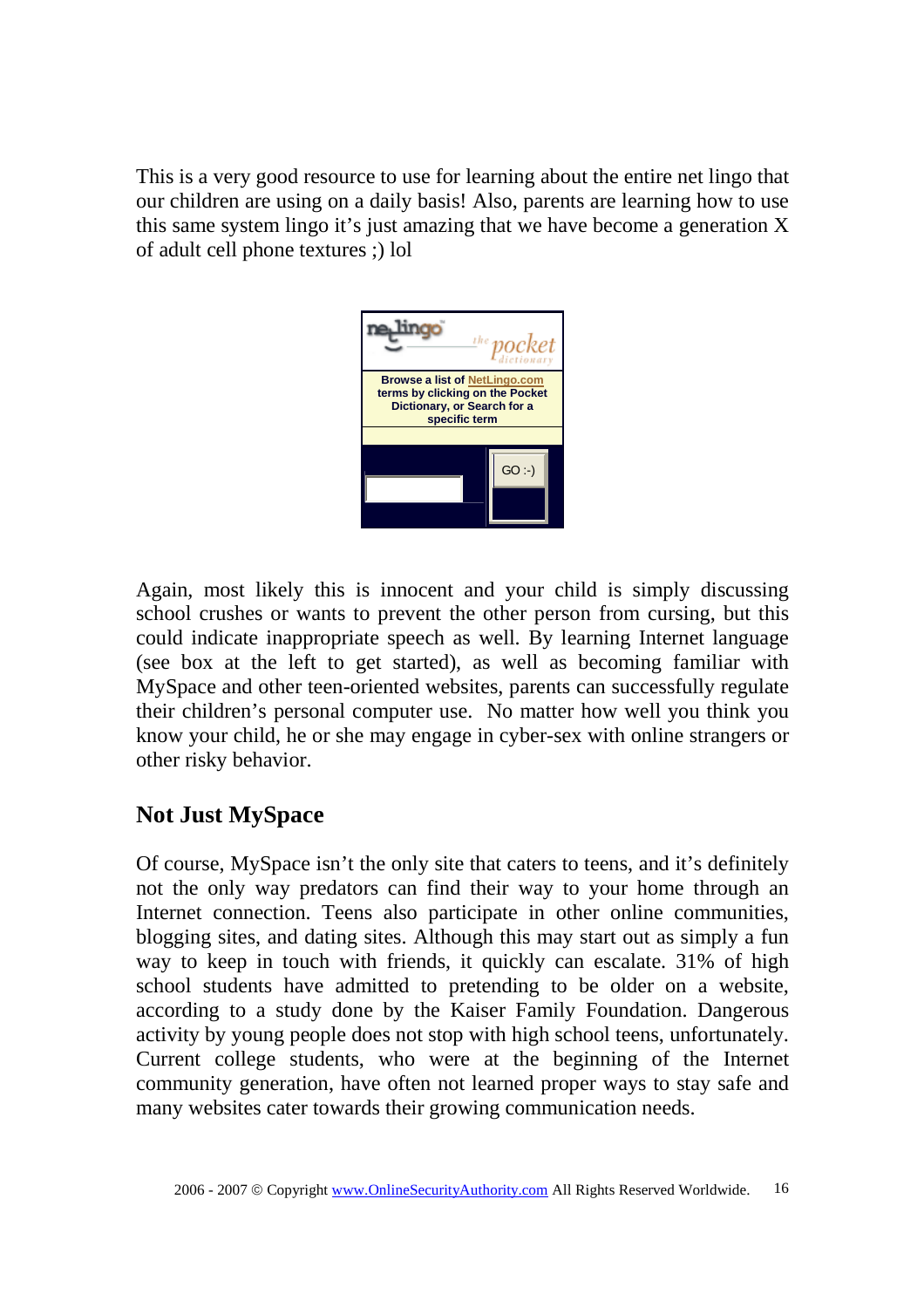This is a very good resource to use for learning about the entire net lingo that our children are using on a daily basis! Also, parents are learning how to use this same system lingo it's just amazing that we have become a generation X of adult cell phone textures ;) lol



Again, most likely this is innocent and your child is simply discussing school crushes or wants to prevent the other person from cursing, but this could indicate inappropriate speech as well. By learning Internet language (see box at the left to get started), as well as becoming familiar with MySpace and other teen-oriented websites, parents can successfully regulate their children's personal computer use. No matter how well you think you know your child, he or she may engage in cyber-sex with online strangers or other risky behavior.

## **Not Just MySpace**

Of course, MySpace isn't the only site that caters to teens, and it's definitely not the only way predators can find their way to your home through an Internet connection. Teens also participate in other online communities, blogging sites, and dating sites. Although this may start out as simply a fun way to keep in touch with friends, it quickly can escalate. 31% of high school students have admitted to pretending to be older on a website, according to a study done by the Kaiser Family Foundation. Dangerous activity by young people does not stop with high school teens, unfortunately. Current college students, who were at the beginning of the Internet community generation, have often not learned proper ways to stay safe and many websites cater towards their growing communication needs.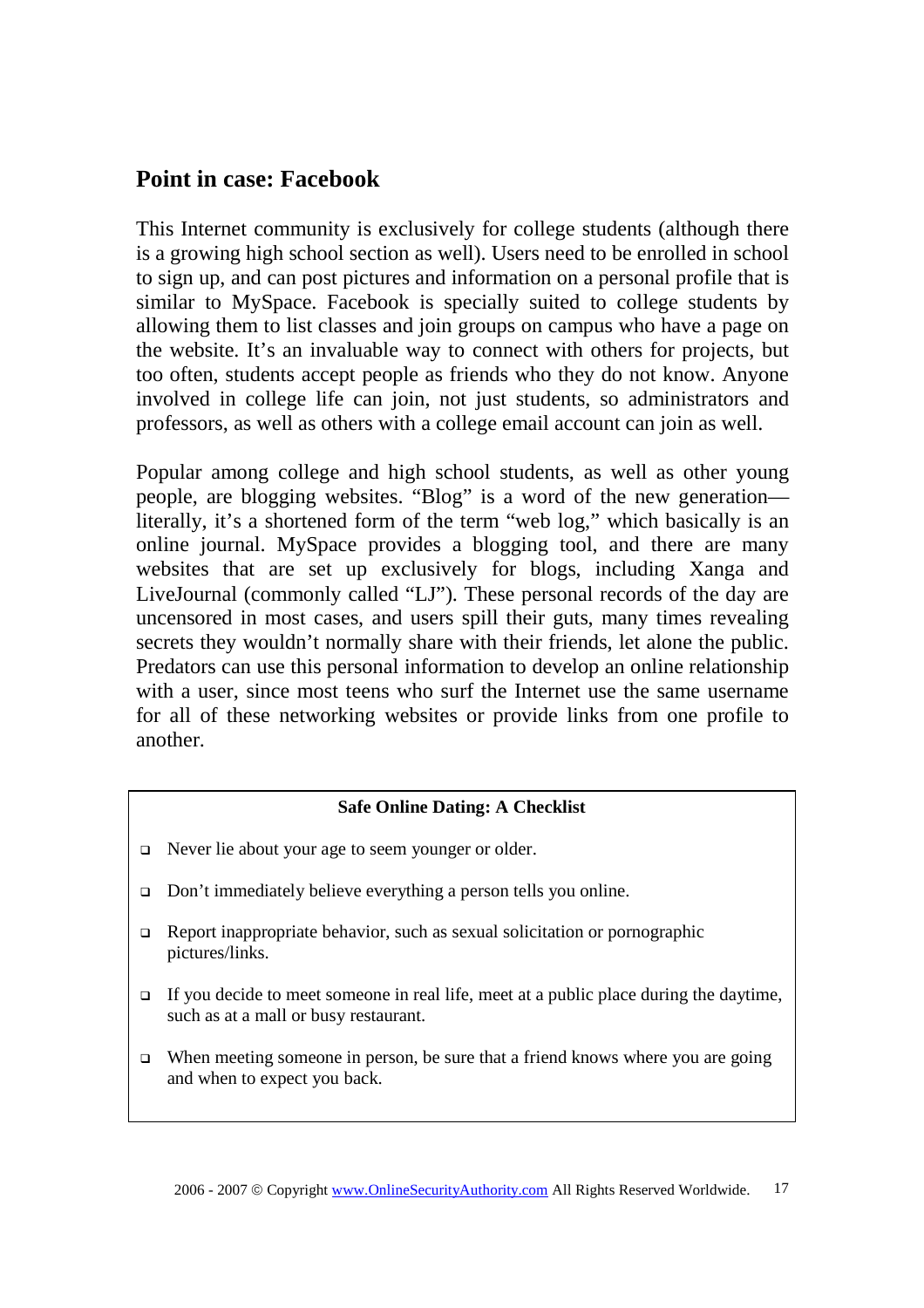### **Point in case: Facebook**

This Internet community is exclusively for college students (although there is a growing high school section as well). Users need to be enrolled in school to sign up, and can post pictures and information on a personal profile that is similar to MySpace. Facebook is specially suited to college students by allowing them to list classes and join groups on campus who have a page on the website. It's an invaluable way to connect with others for projects, but too often, students accept people as friends who they do not know. Anyone involved in college life can join, not just students, so administrators and professors, as well as others with a college email account can join as well.

Popular among college and high school students, as well as other young people, are blogging websites. "Blog" is a word of the new generation literally, it's a shortened form of the term "web log," which basically is an online journal. MySpace provides a blogging tool, and there are many websites that are set up exclusively for blogs, including Xanga and LiveJournal (commonly called "LJ"). These personal records of the day are uncensored in most cases, and users spill their guts, many times revealing secrets they wouldn't normally share with their friends, let alone the public. Predators can use this personal information to develop an online relationship with a user, since most teens who surf the Internet use the same username for all of these networking websites or provide links from one profile to another.

#### **Safe Online Dating: A Checklist**

- Never lie about your age to seem younger or older.
- □ Don't immediately believe everything a person tells you online.
- $\Box$  Report inappropriate behavior, such as sexual solicitation or pornographic pictures/links.
- If you decide to meet someone in real life, meet at a public place during the daytime, such as at a mall or busy restaurant.
- $\Box$  When meeting someone in person, be sure that a friend knows where you are going and when to expect you back.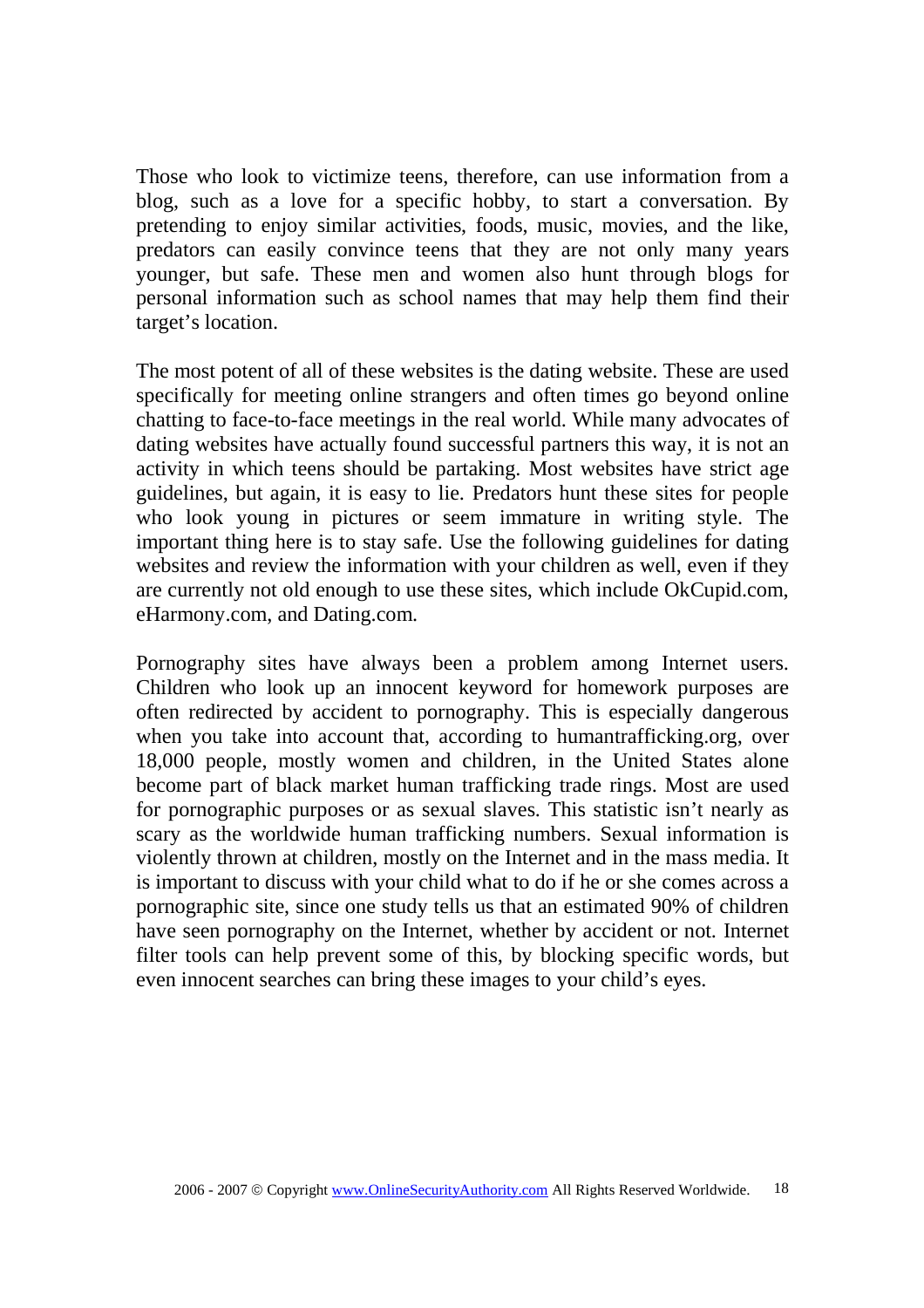Those who look to victimize teens, therefore, can use information from a blog, such as a love for a specific hobby, to start a conversation. By pretending to enjoy similar activities, foods, music, movies, and the like, predators can easily convince teens that they are not only many years younger, but safe. These men and women also hunt through blogs for personal information such as school names that may help them find their target's location.

The most potent of all of these websites is the dating website. These are used specifically for meeting online strangers and often times go beyond online chatting to face-to-face meetings in the real world. While many advocates of dating websites have actually found successful partners this way, it is not an activity in which teens should be partaking. Most websites have strict age guidelines, but again, it is easy to lie. Predators hunt these sites for people who look young in pictures or seem immature in writing style. The important thing here is to stay safe. Use the following guidelines for dating websites and review the information with your children as well, even if they are currently not old enough to use these sites, which include OkCupid.com, eHarmony.com, and Dating.com.

Pornography sites have always been a problem among Internet users. Children who look up an innocent keyword for homework purposes are often redirected by accident to pornography. This is especially dangerous when you take into account that, according to humantrafficking.org, over 18,000 people, mostly women and children, in the United States alone become part of black market human trafficking trade rings. Most are used for pornographic purposes or as sexual slaves. This statistic isn't nearly as scary as the worldwide human trafficking numbers. Sexual information is violently thrown at children, mostly on the Internet and in the mass media. It is important to discuss with your child what to do if he or she comes across a pornographic site, since one study tells us that an estimated 90% of children have seen pornography on the Internet, whether by accident or not. Internet filter tools can help prevent some of this, by blocking specific words, but even innocent searches can bring these images to your child's eyes.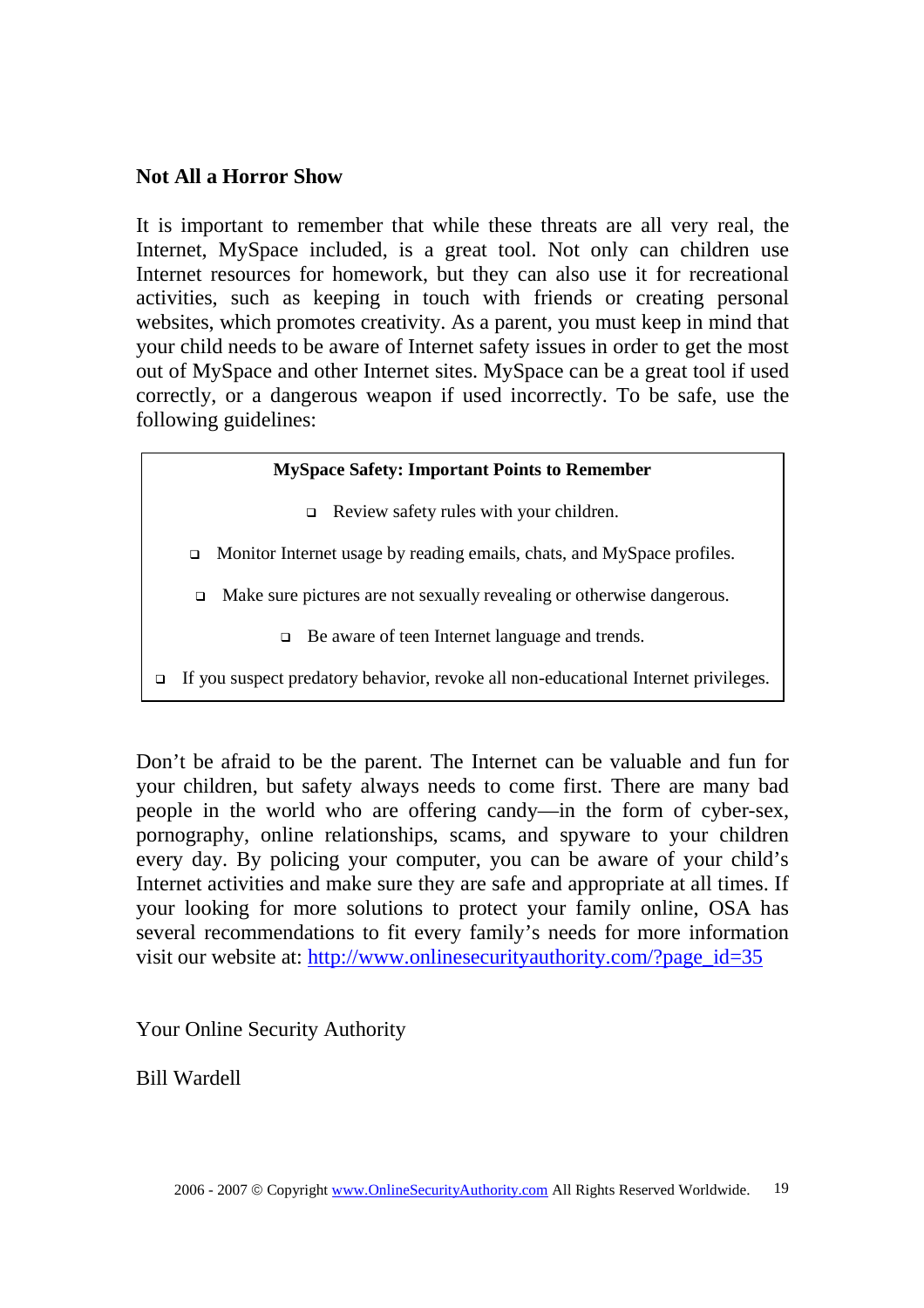### **Not All a Horror Show**

It is important to remember that while these threats are all very real, the Internet, MySpace included, is a great tool. Not only can children use Internet resources for homework, but they can also use it for recreational activities, such as keeping in touch with friends or creating personal websites, which promotes creativity. As a parent, you must keep in mind that your child needs to be aware of Internet safety issues in order to get the most out of MySpace and other Internet sites. MySpace can be a great tool if used correctly, or a dangerous weapon if used incorrectly. To be safe, use the following guidelines:

#### **MySpace Safety: Important Points to Remember**

- Review safety rules with your children.
- □ Monitor Internet usage by reading emails, chats, and MySpace profiles.
- □ Make sure pictures are not sexually revealing or otherwise dangerous.
	- □ Be aware of teen Internet language and trends.
- If you suspect predatory behavior, revoke all non-educational Internet privileges.

Don't be afraid to be the parent. The Internet can be valuable and fun for your children, but safety always needs to come first. There are many bad people in the world who are offering candy—in the form of cyber-sex, pornography, online relationships, scams, and spyware to your children every day. By policing your computer, you can be aware of your child's Internet activities and make sure they are safe and appropriate at all times. If your looking for more solutions to protect your family online, OSA has several recommendations to fit every family's needs for more information visit our website at: http://www.onlinesecurityauthority.com/?page\_id=35

Your Online Security Authority

Bill Wardell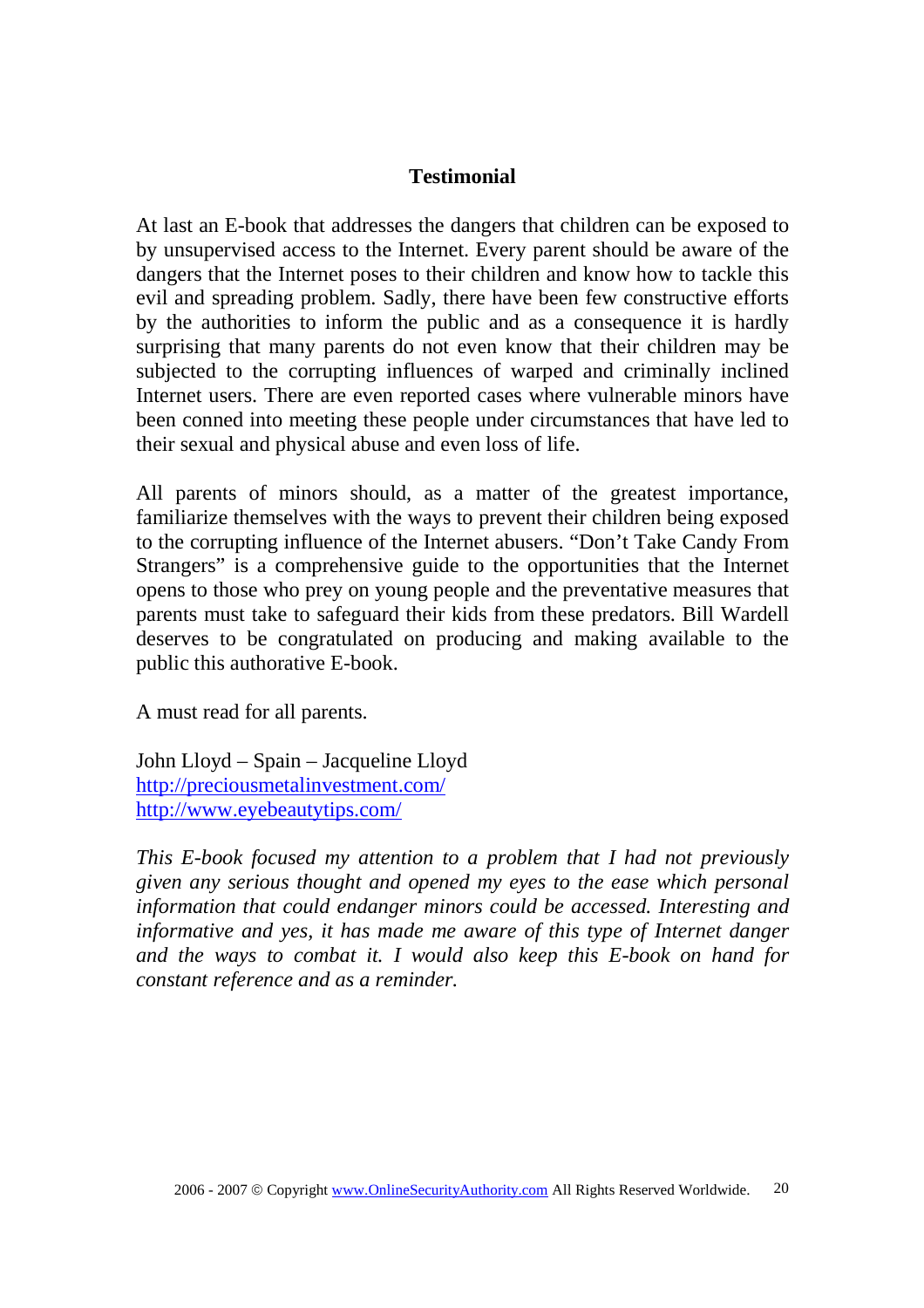At last an E-book that addresses the dangers that children can be exposed to by unsupervised access to the Internet. Every parent should be aware of the dangers that the Internet poses to their children and know how to tackle this evil and spreading problem. Sadly, there have been few constructive efforts by the authorities to inform the public and as a consequence it is hardly surprising that many parents do not even know that their children may be subjected to the corrupting influences of warped and criminally inclined Internet users. There are even reported cases where vulnerable minors have been conned into meeting these people under circumstances that have led to their sexual and physical abuse and even loss of life.

All parents of minors should, as a matter of the greatest importance, familiarize themselves with the ways to prevent their children being exposed to the corrupting influence of the Internet abusers. "Don't Take Candy From Strangers" is a comprehensive guide to the opportunities that the Internet opens to those who prey on young people and the preventative measures that parents must take to safeguard their kids from these predators. Bill Wardell deserves to be congratulated on producing and making available to the public this authorative E-book.

A must read for all parents.

John Lloyd – Spain – Jacqueline Lloyd http://preciousmetalinvestment.com/ http://www.eyebeautytips.com/

*This E-book focused my attention to a problem that I had not previously given any serious thought and opened my eyes to the ease which personal information that could endanger minors could be accessed. Interesting and informative and yes, it has made me aware of this type of Internet danger and the ways to combat it. I would also keep this E-book on hand for constant reference and as a reminder.*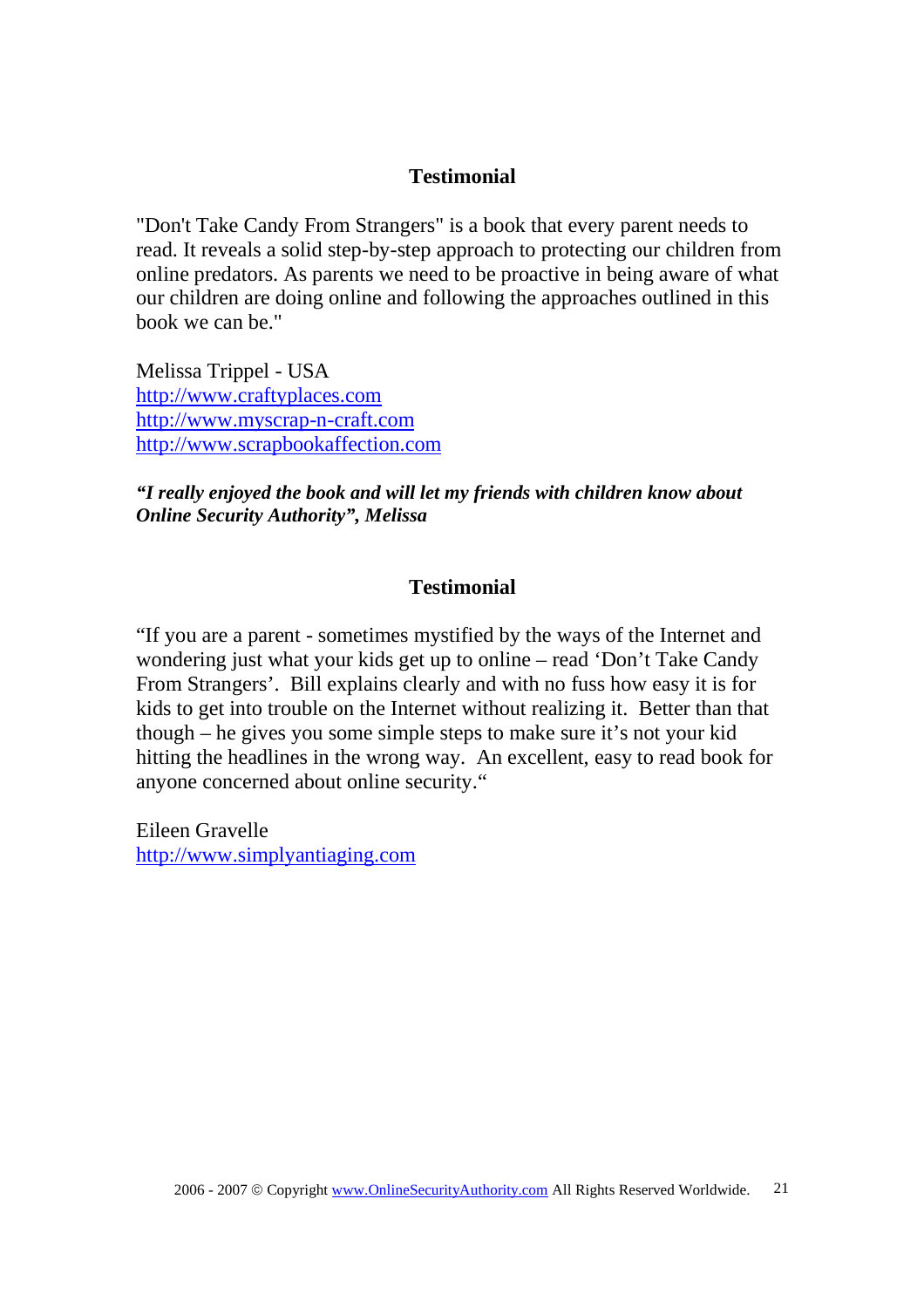"Don't Take Candy From Strangers" is a book that every parent needs to read. It reveals a solid step-by-step approach to protecting our children from online predators. As parents we need to be proactive in being aware of what our children are doing online and following the approaches outlined in this book we can be."

Melissa Trippel - USA http://www.craftyplaces.com http://www.myscrap-n-craft.com http://www.scrapbookaffection.com

*"I really enjoyed the book and will let my friends with children know about Online Security Authority", Melissa*

### **Testimonial**

"If you are a parent - sometimes mystified by the ways of the Internet and wondering just what your kids get up to online – read 'Don't Take Candy From Strangers'. Bill explains clearly and with no fuss how easy it is for kids to get into trouble on the Internet without realizing it. Better than that though – he gives you some simple steps to make sure it's not your kid hitting the headlines in the wrong way. An excellent, easy to read book for anyone concerned about online security."

Eileen Gravelle http://www.simplyantiaging.com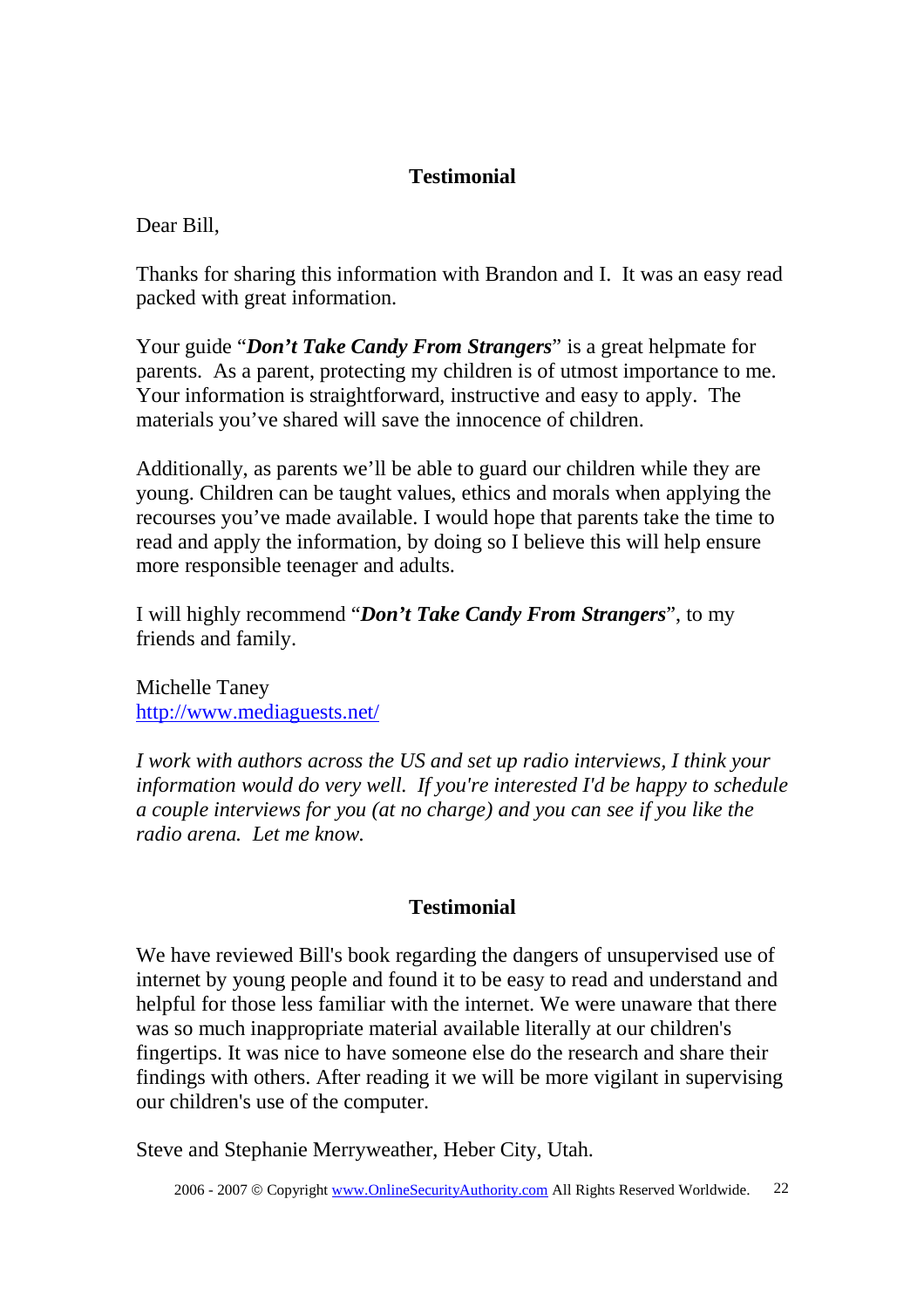Dear Bill,

Thanks for sharing this information with Brandon and I. It was an easy read packed with great information.

Your guide "*Don't Take Candy From Strangers*" is a great helpmate for parents. As a parent, protecting my children is of utmost importance to me. Your information is straightforward, instructive and easy to apply. The materials you've shared will save the innocence of children.

Additionally, as parents we'll be able to guard our children while they are young. Children can be taught values, ethics and morals when applying the recourses you've made available. I would hope that parents take the time to read and apply the information, by doing so I believe this will help ensure more responsible teenager and adults.

I will highly recommend "*Don't Take Candy From Strangers*", to my friends and family.

Michelle Taney http://www.mediaguests.net/

*I work with authors across the US and set up radio interviews, I think your information would do very well. If you're interested I'd be happy to schedule a couple interviews for you (at no charge) and you can see if you like the radio arena. Let me know.*

### **Testimonial**

We have reviewed Bill's book regarding the dangers of unsupervised use of internet by young people and found it to be easy to read and understand and helpful for those less familiar with the internet. We were unaware that there was so much inappropriate material available literally at our children's fingertips. It was nice to have someone else do the research and share their findings with others. After reading it we will be more vigilant in supervising our children's use of the computer.

Steve and Stephanie Merryweather, Heber City, Utah.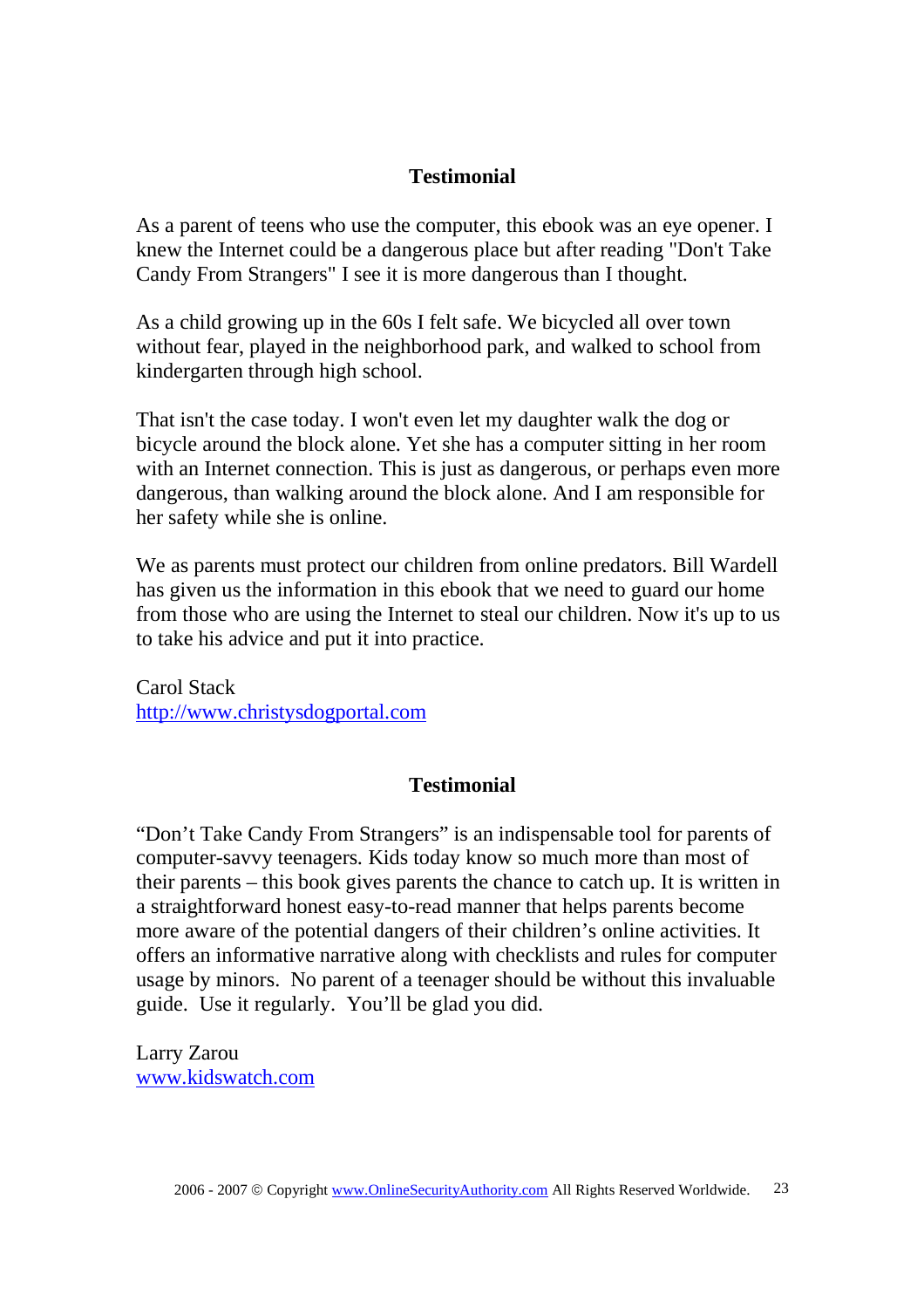As a parent of teens who use the computer, this ebook was an eye opener. I knew the Internet could be a dangerous place but after reading "Don't Take Candy From Strangers" I see it is more dangerous than I thought.

As a child growing up in the 60s I felt safe. We bicycled all over town without fear, played in the neighborhood park, and walked to school from kindergarten through high school.

That isn't the case today. I won't even let my daughter walk the dog or bicycle around the block alone. Yet she has a computer sitting in her room with an Internet connection. This is just as dangerous, or perhaps even more dangerous, than walking around the block alone. And I am responsible for her safety while she is online.

We as parents must protect our children from online predators. Bill Wardell has given us the information in this ebook that we need to guard our home from those who are using the Internet to steal our children. Now it's up to us to take his advice and put it into practice.

Carol Stack http://www.christysdogportal.com

### **Testimonial**

"Don't Take Candy From Strangers" is an indispensable tool for parents of computer-savvy teenagers. Kids today know so much more than most of their parents – this book gives parents the chance to catch up. It is written in a straightforward honest easy-to-read manner that helps parents become more aware of the potential dangers of their children's online activities. It offers an informative narrative along with checklists and rules for computer usage by minors. No parent of a teenager should be without this invaluable guide. Use it regularly. You'll be glad you did.

Larry Zarou www.kidswatch.com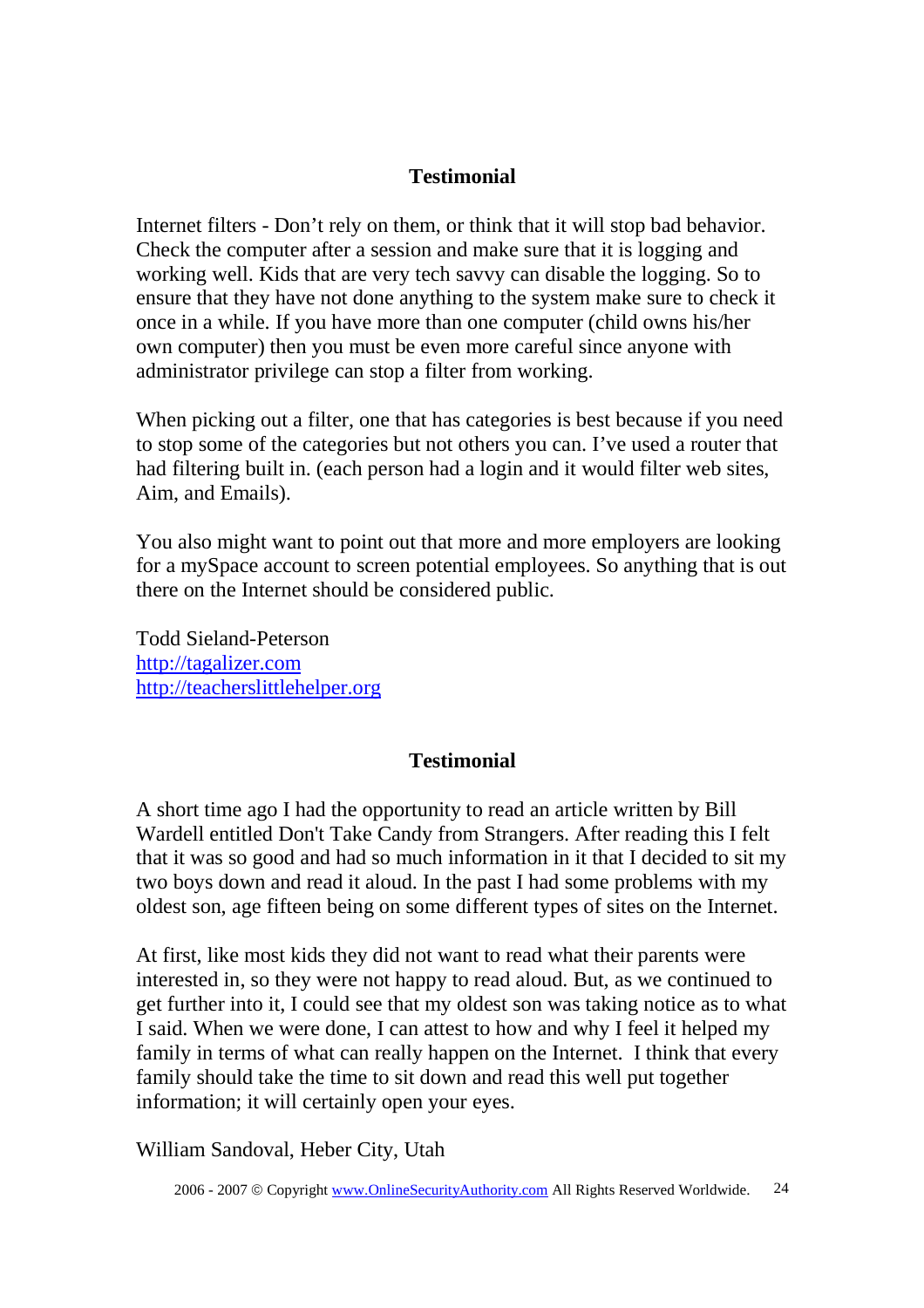Internet filters - Don't rely on them, or think that it will stop bad behavior. Check the computer after a session and make sure that it is logging and working well. Kids that are very tech savvy can disable the logging. So to ensure that they have not done anything to the system make sure to check it once in a while. If you have more than one computer (child owns his/her own computer) then you must be even more careful since anyone with administrator privilege can stop a filter from working.

When picking out a filter, one that has categories is best because if you need to stop some of the categories but not others you can. I've used a router that had filtering built in. (each person had a login and it would filter web sites, Aim, and Emails).

You also might want to point out that more and more employers are looking for a mySpace account to screen potential employees. So anything that is out there on the Internet should be considered public.

Todd Sieland-Peterson http://tagalizer.com http://teacherslittlehelper.org

### **Testimonial**

A short time ago I had the opportunity to read an article written by Bill Wardell entitled Don't Take Candy from Strangers. After reading this I felt that it was so good and had so much information in it that I decided to sit my two boys down and read it aloud. In the past I had some problems with my oldest son, age fifteen being on some different types of sites on the Internet.

At first, like most kids they did not want to read what their parents were interested in, so they were not happy to read aloud. But, as we continued to get further into it, I could see that my oldest son was taking notice as to what I said. When we were done, I can attest to how and why I feel it helped my family in terms of what can really happen on the Internet. I think that every family should take the time to sit down and read this well put together information; it will certainly open your eyes.

William Sandoval, Heber City, Utah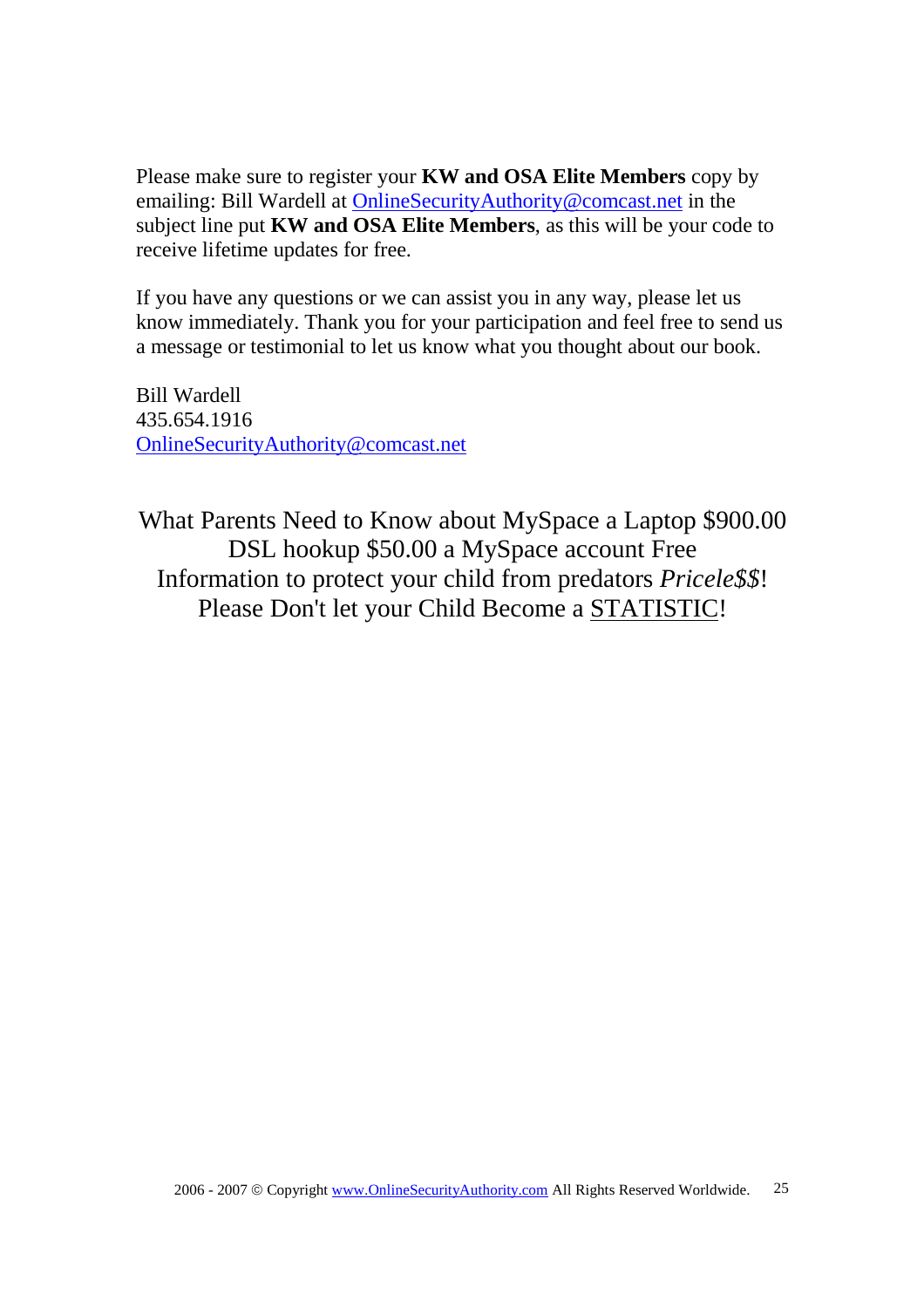Please make sure to register your **KW and OSA Elite Members** copy by emailing: Bill Wardell at OnlineSecurityAuthority@comcast.net in the subject line put **KW and OSA Elite Members**, as this will be your code to receive lifetime updates for free.

If you have any questions or we can assist you in any way, please let us know immediately. Thank you for your participation and feel free to send us a message or testimonial to let us know what you thought about our book.

Bill Wardell 435.654.1916 OnlineSecurityAuthority@comcast.net

What Parents Need to Know about MySpace a Laptop \$900.00 DSL hookup \$50.00 a MySpace account Free Information to protect your child from predators *Pricele\$\$*! Please Don't let your Child Become a STATISTIC!